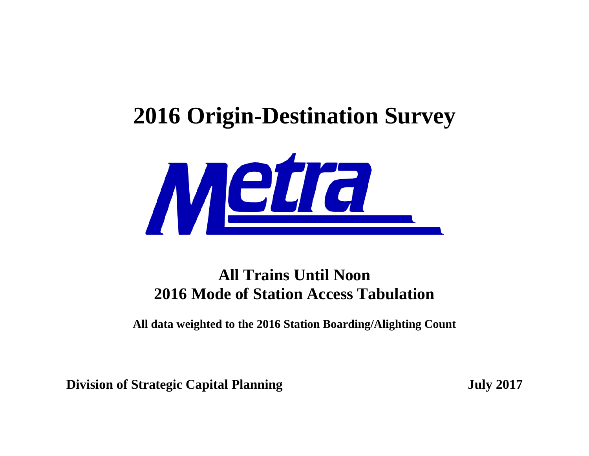## **2016 Origin-Destination Survey**



## **All Trains Until Noon 2016 Mode of Station Access Tabulation**

**All data weighted to the 2016 Station Boarding/Alighting Count**

**Division of Strategic Capital Planning <b>July** 2017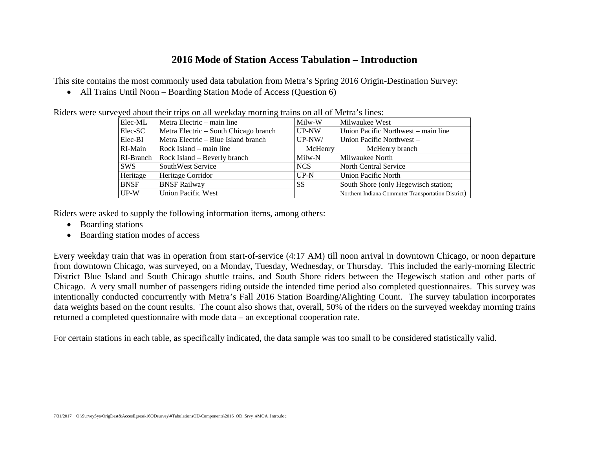## **2016 Mode of Station Access Tabulation – Introduction**

This site contains the most commonly used data tabulation from Metra's Spring 2016 Origin-Destination Survey:

• All Trains Until Noon – Boarding Station Mode of Access (Question 6)

|             | veyed about their trips on an weekday morning trains on an or wietra's mies. |          |                                                    |
|-------------|------------------------------------------------------------------------------|----------|----------------------------------------------------|
| Elec-ML     | Metra Electric – main line                                                   | Milw-W   | Milwaukee West                                     |
| Elec-SC     | Metra Electric – South Chicago branch                                        | $UP-NW$  | Union Pacific Northwest – main line                |
| Elec-BI     | Metra Electric – Blue Island branch                                          | $UP-NW/$ | Union Pacific Northwest –                          |
| RI-Main     | Rock Island – main line                                                      | McHenry  | McHenry branch                                     |
|             | RI-Branch Rock Island – Beverly branch                                       | Milw-N   | Milwaukee North                                    |
| <b>SWS</b>  | SouthWest Service                                                            | NCS      | North Central Service                              |
| Heritage    | Heritage Corridor                                                            | $UP-N$   | <b>Union Pacific North</b>                         |
| <b>BNSF</b> | <b>BNSF Railway</b>                                                          | SS       | South Shore (only Hegewisch station;               |
| $UP-W$      | Union Pacific West                                                           |          | Northern Indiana Commuter Transportation District) |

Riders were surveyed about their trips on all weekday morning trains on all of Metra's lines:

Riders were asked to supply the following information items, among others:

- Boarding stations
- Boarding station modes of access

Every weekday train that was in operation from start-of-service (4:17 AM) till noon arrival in downtown Chicago, or noon departure from downtown Chicago, was surveyed, on a Monday, Tuesday, Wednesday, or Thursday. This included the early-morning Electric District Blue Island and South Chicago shuttle trains, and South Shore riders between the Hegewisch station and other parts of Chicago. A very small number of passengers riding outside the intended time period also completed questionnaires. This survey was intentionally conducted concurrently with Metra's Fall 2016 Station Boarding/Alighting Count. The survey tabulation incorporates data weights based on the count results. The count also shows that, overall, 50% of the riders on the surveyed weekday morning trains returned a completed questionnaire with mode data – an exceptional cooperation rate.

For certain stations in each table, as specifically indicated, the data sample was too small to be considered statistically valid.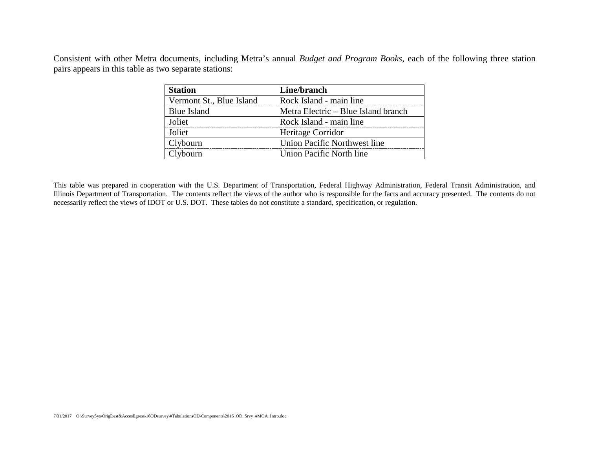Consistent with other Metra documents, including Metra's annual *Budget and Program Books*, each of the following three station pairs appears in this table as two separate stations:

| <b>Station</b>           | Line/branch                         |
|--------------------------|-------------------------------------|
| Vermont St., Blue Island | Rock Island - main line             |
| <b>Blue Island</b>       | Metra Electric – Blue Island branch |
| Joliet                   | Rock Island - main line             |
| Joliet                   | Heritage Corridor                   |
| Clybourn                 | Union Pacific Northwest line        |
| Clybourn                 | Union Pacific North line            |

This table was prepared in cooperation with the U.S. Department of Transportation, Federal Highway Administration, Federal Transit Administration, and Illinois Department of Transportation. The contents reflect the views of the author who is responsible for the facts and accuracy presented. The contents do not necessarily reflect the views of IDOT or U.S. DOT. These tables do not constitute a standard, specification, or regulation.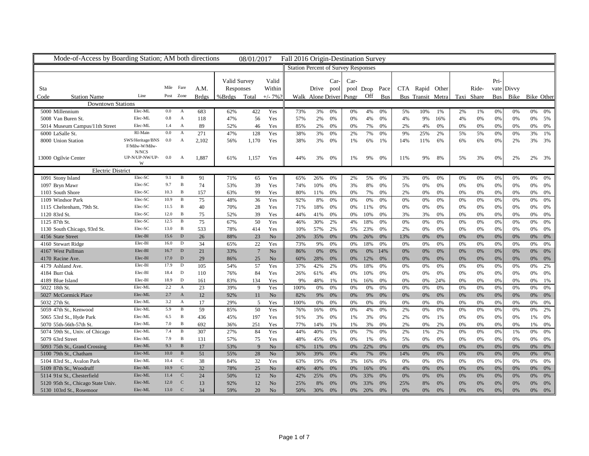| <b>Station Percent of Survey Responses</b><br>Valid Survey<br>Car-<br>Car-<br>Pri-<br>Valid<br>Mile<br>Fare<br>Within<br>CTA Rapid Other<br>vate Divvy<br>A.M.<br>Responses<br>pool Drop Pace<br>Ride-<br>Sta<br>Drive pool<br>Line<br>Post Zone<br>Walk Alone Driver Psngr Off<br>Bus<br>Bus Transit Metra<br><b>Station Name</b><br>%Brdgs Total<br>$+/- 7%$<br>Taxi Share<br><b>Bus</b><br>Bike Bike Other<br>Code<br><b>Brdgs</b><br><b>Downtown Stations</b><br>Elec-ML<br>5000 Millennium<br>$0.0\,$<br>422<br>683<br>62%<br>Yes<br>73%<br>3%<br>0%<br>4%<br>5%<br>10%<br>2%<br>0%<br>0%<br>A<br>0%<br>0%<br>1%<br>1%<br>0%<br>0%<br>Elec-ML<br>0.8<br>2%<br>0%<br>5008 Van Buren St.<br>118<br>47%<br>56<br>Yes<br>57%<br>0%<br>0%<br>4%<br>4%<br>9%<br>4%<br>0%<br>0%<br>0%<br>A<br>0%<br>16%<br>5%<br>1.4<br>Elec-ML<br>89<br>46<br>2%<br>7%<br>4%<br>0%<br>0%<br>5014 Museum Campus/11th Street<br>A<br>52%<br>Yes<br>85%<br>0%<br>0%<br>0%<br>2%<br>0%<br>0%<br>0%<br>0%<br>0%<br>RI-Main<br>0.0<br>$\mathbf{A}$<br>128<br>6000 LaSalle St.<br>271<br>47%<br>Yes<br>38%<br>3%<br>0%<br>2%<br>7%<br>9%<br>25%<br>2%<br>5%<br>5%<br>0%<br>3%<br>0%<br>0%<br>1%<br>SWS/Heritage/BNS<br>0.0<br>3%<br>6%<br>3%<br>8000 Union Station<br>A<br>2,102<br>56%<br>1,170<br>Yes<br>38%<br>0%<br>6%<br>14%<br>11%<br>6%<br>6%<br>0%<br>2%<br>3%<br>1%<br>1%<br>F/Milw-W/Milw<br>N/NCS<br>UP-N/UP-NW/UP-<br>13000 Ogilvie Center<br>0.0<br>1,887<br>2%<br>A<br>1,157<br>Yes<br>44%<br>3%<br>0%<br>1%<br>9%<br>0%<br>11%<br>9%<br>8%<br>5%<br>3%<br>2%<br>3%<br>61%<br>0%<br>W<br><b>Electric District</b><br>Elec-SC<br>9.1<br>1091 Stony Island<br>71%<br>65<br>Yes<br>65%<br>26%<br>2%<br>5%<br>3%<br>0%<br>0%<br>B<br>91<br>0%<br>0%<br>0%<br>0%<br>0%<br>0%<br>0%<br>0%<br>Elec-SC<br>9.7<br>39<br>B<br>74<br>53%<br>Yes<br>74%<br>3%<br>8%<br>0%<br>0%<br>0%<br>0%<br>0%<br>0%<br>0%<br>1097 Bryn Mawr<br>0%<br>0%<br>5%<br>0%<br>10%<br>Elec-SC<br>10.3<br>B<br>157<br>99<br>1103 South Shore<br>63%<br>Yes<br>80%<br>0%<br>7%<br>0%<br>0%<br>0%<br>0%<br>11%<br>0%<br>0%<br>2%<br>0%<br>0%<br>0%<br>0%<br>Elec-SC<br>10.9<br>75<br>36<br>1109 Windsor Park<br>B<br>48%<br>Yes<br>92%<br>8%<br>0%<br>0%<br>0%<br>0%<br>0%<br>0%<br>0%<br>0%<br>0%<br>0%<br>0%<br>0%<br>0%<br>Elec-SC<br>11.5<br>$\, {\bf B}$<br>40<br>28<br>1115 Cheltenham, 79th St.<br>70%<br>Yes<br>71%<br>18%<br>0%<br>0%<br>0%<br>0%<br>0%<br>0%<br>0%<br>0%<br>0%<br>0%<br>0%<br>0%<br>11%<br>12.0<br>Elec-SC<br>B<br>75<br>52%<br>39<br>3%<br>0%<br>0%<br>0%<br>$0\%$<br>1120 83rd St.<br>Yes<br>44%<br>0%<br>0%<br>0%<br>3%<br>0%<br>0%<br>0%<br>41%<br>10%<br>75<br>Elec-SC<br>12.5<br>50<br>Yes<br>30%<br>B<br>67%<br>46%<br>2%<br>4%<br>18%<br>0%<br>0%<br>0%<br>0%<br>0%<br>0%<br>0%<br>0%<br>1125 87th St.<br>0%<br>0%<br>Elec-SC<br>13.0<br>533<br>1130 South Chicago, 93rd St.<br>$\mathbf{B}$<br>78%<br>414<br>Yes<br>10%<br>57%<br>2%<br>5%<br>23%<br>0%<br>2%<br>0%<br>0%<br>0%<br>0%<br>0%<br>0%<br>0%<br>0%<br>Elec-BI<br>15.6<br>D<br>26<br>23<br>No<br>35%<br>26%<br>0%<br>0%<br>0%<br>4156 State Street<br>88%<br>26%<br>0%<br>0%<br>13%<br>0%<br>0%<br>0%<br>0%<br>0%<br>0%<br>34<br>Elec-BI<br>16.0<br>22<br>9%<br>18%<br>0%<br>0%<br>0%<br>0%<br>0%<br>4160 Stewart Ridge<br>D<br>65%<br>Yes<br>73%<br>0%<br>0%<br>0%<br>0%<br>0%<br>0%<br>0%<br>Elec-BI<br>16.7 D<br>4167 West Pullman<br>21<br>33%<br>$7\phantom{.0}$<br>86%<br>0%<br>No<br>0%<br>0%<br>0%<br>14%<br>0%<br>0%<br>0%<br>0%<br>0%<br>0%<br>0%<br>0%<br>0%<br>17.0<br>Elec-BI<br>D<br>29<br>25<br>0%<br>0%<br>4170 Racine Ave.<br>86%<br>No<br>60%<br>28%<br>0%<br>12%<br>0%<br>0%<br>0%<br>0%<br>0%<br>0%<br>0%<br>0%<br>0%<br>Elec-BI<br>17.9<br>105<br>57<br>Yes<br>37%<br>42%<br>2%<br>0%<br>4179 Ashland Ave.<br>D<br>54%<br>0%<br>18%<br>0%<br>0%<br>$0\%$<br>0%<br>0%<br>0%<br>0%<br>0%<br>2%<br>18.4<br>84<br>4184 Burr Oak<br>Elec-BI<br>D<br>110<br>76%<br>Yes<br>26%<br>0%<br>0%<br>0%<br>0%<br>0%<br>4%<br>0%<br>10%<br>0%<br>0%<br>0%<br>0%<br>0%<br>61%<br>18.9<br>Elec-BI<br>D<br>134<br>0%<br>0%<br>0%<br>4189 Blue Island<br>161<br>83%<br>Yes<br>9%<br>48%<br>1%<br>0%<br>0%<br>24%<br>0%<br>0%<br>0%<br>1%<br>16%<br>1%<br>Elec-ML<br>2.2<br>5022 18th St.<br>$\mathbf{A}$<br>23<br>Yes<br>0%<br>0%<br>0%<br>0%<br>0%<br>39%<br>9<br>100%<br>0%<br>0%<br>0%<br>0%<br>$0\%$<br>0%<br>0%<br>0%<br>0%<br>Elec-ML<br>2.7<br>12<br>5027 McCormick Place<br>92%<br>11<br>No<br>82%<br>9%<br>0%<br>0%<br>0%<br>0%<br>A<br>0%<br>0%<br>9%<br>0%<br>0%<br>0%<br>0%<br>0%<br>0%<br>5032 27th St.<br>Elec-ML<br>3.2<br>17<br>$5\overline{ }$<br>$\mathbf{A}$<br>29%<br>Yes<br>100%<br>0%<br>0%<br>0%<br>0%<br>0%<br>0%<br>0%<br>0%<br>0%<br>0%<br>0%<br>0%<br>0%<br>0%<br>5.9<br>5059 47th St., Kenwood<br>Elec-ML<br>$\mathbf{B}$<br>59<br>50<br>Yes<br>0%<br>85%<br>76%<br>16%<br>0%<br>4%<br>0%<br>2%<br>0%<br>0%<br>0%<br>0%<br>0%<br>2%<br>0%<br>0%<br>6.5<br>Elec-ML<br>B<br>436<br>45%<br>197<br>Yes<br>3%<br>3%<br>0%<br>1%<br>5065 53rd St., Hyde Park<br>91%<br>0%<br>0%<br>2%<br>1%<br>0%<br>0%<br>0%<br>0%<br>0%<br>1%<br>Elec-ML<br>7.0<br>$\mathbf{B}$<br>692<br>0%<br>5070 55th-56th-57th St<br>251<br>Yes<br>14%<br>3%<br>0%<br>2%<br>2%<br>0%<br>0%<br>0%<br>0%<br>1%<br>36%<br>77%<br>1%<br>1%<br>0%<br>307<br>7.4<br>84<br>Yes<br>7%<br>2%<br>0%<br>5074 59th St., Univ. of Chicago<br>Elec-ML<br>B<br>27%<br>44%<br>40%<br>0%<br>1%<br>2%<br>0%<br>1%<br>0%<br>1%<br>0%<br>0%<br>0%<br>5079 63rd Street<br>Elec-ML<br>7.9<br>B<br>57%<br>75<br>45%<br>0%<br>0%<br>131<br>Yes<br>48%<br>0%<br>0%<br>1%<br>0%<br>5%<br>0%<br>0%<br>0%<br>0%<br>0%<br>0%<br>9.3<br>Elec-ML<br>$\mathbf{B}$<br>17<br>No<br>5093 75th St., Grand Crossing<br>9<br>22%<br>0%<br>0%<br>0%<br>53%<br>67%<br>11%<br>0%<br>0%<br>0%<br>0%<br>0%<br>0%<br>0%<br>0%<br>0%<br>Elec-ML<br>10.0<br>51<br>28<br>No<br>39%<br>7%<br>14%<br>0%<br>0%<br>0%<br>5100 79th St., Chatham<br>$\mathbf{B}$<br>55%<br>36%<br>0%<br>4%<br>0%<br>0%<br>0%<br>0%<br>0%<br>0%<br>Elec-ML<br>10.4<br>38<br>32<br>5104 83rd St., Avalon Park<br>C<br>84%<br>Yes<br>63%<br>19%<br>0%<br>3%<br>16%<br>0%<br>0%<br>0%<br>$0\%$<br>0%<br>0%<br>0%<br>0%<br>0%<br>0%<br>10.9<br>32<br>25<br>Elec-ML<br>No<br>0%<br>0%<br>5109 87th St., Woodruff<br>C<br>78%<br>40%<br>40%<br>0%<br>0%<br>16%<br>0%<br>4%<br>0%<br>0%<br>0%<br>0%<br>0%<br>0%<br>Elec-ML<br>11.4 C<br>24<br>5114 91st St., Chesterfield<br>50%<br>12<br>N <sub>o</sub><br>42%<br>25%<br>0%<br>0%<br>33%<br>0%<br>0%<br>0%<br>0%<br>0%<br>0%<br>0%<br>0%<br>0%<br>0%<br>Elec-ML<br>12.0<br>$\mathcal{C}$<br>$12\,$<br>13<br>92%<br>25%<br>8%<br>33%<br>25%<br>0%<br>0%<br>5120 95th St., Chicago State Univ.<br>No<br>0%<br>0%<br>8%<br>0%<br>0%<br>0%<br>0%<br>0%<br>0% | Mode-of-Access by Boarding Station; AM both directions |  |  | 08/01/2017 | Fall 2016 Origin-Destination Survey |  |  |  |  |  |  |  |
|------------------------------------------------------------------------------------------------------------------------------------------------------------------------------------------------------------------------------------------------------------------------------------------------------------------------------------------------------------------------------------------------------------------------------------------------------------------------------------------------------------------------------------------------------------------------------------------------------------------------------------------------------------------------------------------------------------------------------------------------------------------------------------------------------------------------------------------------------------------------------------------------------------------------------------------------------------------------------------------------------------------------------------------------------------------------------------------------------------------------------------------------------------------------------------------------------------------------------------------------------------------------------------------------------------------------------------------------------------------------------------------------------------------------------------------------------------------------------------------------------------------------------------------------------------------------------------------------------------------------------------------------------------------------------------------------------------------------------------------------------------------------------------------------------------------------------------------------------------------------------------------------------------------------------------------------------------------------------------------------------------------------------------------------------------------------------------------------------------------------------------------------------------------------------------------------------------------------------------------------------------------------------------------------------------------------------------------------------------------------------------------------------------------------------------------------------------------------------------------------------------------------------------------------------------------------------------------------------------------------------------------------------------------------------------------------------------------------------------------------------------------------------------------------------------------------------------------------------------------------------------------------------------------------------------------------------------------------------------------------------------------------------------------------------------------------------------------------------------------------------------------------------------------------------------------------------------------------------------------------------------------------------------------------------------------------------------------------------------------------------------------------------------------------------------------------------------------------------------------------------------------------------------------------------------------------------------------------------------------------------------------------------------------------------------------------------------------------------------------------------------------------------------------------------------------------------------------------------------------------------------------------------------------------------------------------------------------------------------------------------------------------------------------------------------------------------------------------------------------------------------------------------------------------------------------------------------------------------------------------------------------------------------------------------------------------------------------------------------------------------------------------------------------------------------------------------------------------------------------------------------------------------------------------------------------------------------------------------------------------------------------------------------------------------------------------------------------------------------------------------------------------------------------------------------------------------------------------------------------------------------------------------------------------------------------------------------------------------------------------------------------------------------------------------------------------------------------------------------------------------------------------------------------------------------------------------------------------------------------------------------------------------------------------------------------------------------------------------------------------------------------------------------------------------------------------------------------------------------------------------------------------------------------------------------------------------------------------------------------------------------------------------------------------------------------------------------------------------------------------------------------------------------------------------------------------------------------------------------------------------------------------------------------------------------------------------------------------------------------------------------------------------------------------------------------------------------------------------------------------------------------------------------------------------------------------------------------------------------------------------------------------------------------------------------------------------------------------------------------------------------------------------------------------------------------------------------------------------------------------------------------------------------------------------------------------------------------------------------------------------------------------------------------------------------------------------------------------------------------------------------------------------|--------------------------------------------------------|--|--|------------|-------------------------------------|--|--|--|--|--|--|--|
|                                                                                                                                                                                                                                                                                                                                                                                                                                                                                                                                                                                                                                                                                                                                                                                                                                                                                                                                                                                                                                                                                                                                                                                                                                                                                                                                                                                                                                                                                                                                                                                                                                                                                                                                                                                                                                                                                                                                                                                                                                                                                                                                                                                                                                                                                                                                                                                                                                                                                                                                                                                                                                                                                                                                                                                                                                                                                                                                                                                                                                                                                                                                                                                                                                                                                                                                                                                                                                                                                                                                                                                                                                                                                                                                                                                                                                                                                                                                                                                                                                                                                                                                                                                                                                                                                                                                                                                                                                                                                                                                                                                                                                                                                                                                                                                                                                                                                                                                                                                                                                                                                                                                                                                                                                                                                                                                                                                                                                                                                                                                                                                                                                                                                                                                                                                                                                                                                                                                                                                                                                                                                                                                                                                                                                                                                                                                                                                                                                                                                                                                                                                                                                                                                                                                                                              |                                                        |  |  |            |                                     |  |  |  |  |  |  |  |
|                                                                                                                                                                                                                                                                                                                                                                                                                                                                                                                                                                                                                                                                                                                                                                                                                                                                                                                                                                                                                                                                                                                                                                                                                                                                                                                                                                                                                                                                                                                                                                                                                                                                                                                                                                                                                                                                                                                                                                                                                                                                                                                                                                                                                                                                                                                                                                                                                                                                                                                                                                                                                                                                                                                                                                                                                                                                                                                                                                                                                                                                                                                                                                                                                                                                                                                                                                                                                                                                                                                                                                                                                                                                                                                                                                                                                                                                                                                                                                                                                                                                                                                                                                                                                                                                                                                                                                                                                                                                                                                                                                                                                                                                                                                                                                                                                                                                                                                                                                                                                                                                                                                                                                                                                                                                                                                                                                                                                                                                                                                                                                                                                                                                                                                                                                                                                                                                                                                                                                                                                                                                                                                                                                                                                                                                                                                                                                                                                                                                                                                                                                                                                                                                                                                                                                              |                                                        |  |  |            |                                     |  |  |  |  |  |  |  |
|                                                                                                                                                                                                                                                                                                                                                                                                                                                                                                                                                                                                                                                                                                                                                                                                                                                                                                                                                                                                                                                                                                                                                                                                                                                                                                                                                                                                                                                                                                                                                                                                                                                                                                                                                                                                                                                                                                                                                                                                                                                                                                                                                                                                                                                                                                                                                                                                                                                                                                                                                                                                                                                                                                                                                                                                                                                                                                                                                                                                                                                                                                                                                                                                                                                                                                                                                                                                                                                                                                                                                                                                                                                                                                                                                                                                                                                                                                                                                                                                                                                                                                                                                                                                                                                                                                                                                                                                                                                                                                                                                                                                                                                                                                                                                                                                                                                                                                                                                                                                                                                                                                                                                                                                                                                                                                                                                                                                                                                                                                                                                                                                                                                                                                                                                                                                                                                                                                                                                                                                                                                                                                                                                                                                                                                                                                                                                                                                                                                                                                                                                                                                                                                                                                                                                                              |                                                        |  |  |            |                                     |  |  |  |  |  |  |  |
|                                                                                                                                                                                                                                                                                                                                                                                                                                                                                                                                                                                                                                                                                                                                                                                                                                                                                                                                                                                                                                                                                                                                                                                                                                                                                                                                                                                                                                                                                                                                                                                                                                                                                                                                                                                                                                                                                                                                                                                                                                                                                                                                                                                                                                                                                                                                                                                                                                                                                                                                                                                                                                                                                                                                                                                                                                                                                                                                                                                                                                                                                                                                                                                                                                                                                                                                                                                                                                                                                                                                                                                                                                                                                                                                                                                                                                                                                                                                                                                                                                                                                                                                                                                                                                                                                                                                                                                                                                                                                                                                                                                                                                                                                                                                                                                                                                                                                                                                                                                                                                                                                                                                                                                                                                                                                                                                                                                                                                                                                                                                                                                                                                                                                                                                                                                                                                                                                                                                                                                                                                                                                                                                                                                                                                                                                                                                                                                                                                                                                                                                                                                                                                                                                                                                                                              |                                                        |  |  |            |                                     |  |  |  |  |  |  |  |
|                                                                                                                                                                                                                                                                                                                                                                                                                                                                                                                                                                                                                                                                                                                                                                                                                                                                                                                                                                                                                                                                                                                                                                                                                                                                                                                                                                                                                                                                                                                                                                                                                                                                                                                                                                                                                                                                                                                                                                                                                                                                                                                                                                                                                                                                                                                                                                                                                                                                                                                                                                                                                                                                                                                                                                                                                                                                                                                                                                                                                                                                                                                                                                                                                                                                                                                                                                                                                                                                                                                                                                                                                                                                                                                                                                                                                                                                                                                                                                                                                                                                                                                                                                                                                                                                                                                                                                                                                                                                                                                                                                                                                                                                                                                                                                                                                                                                                                                                                                                                                                                                                                                                                                                                                                                                                                                                                                                                                                                                                                                                                                                                                                                                                                                                                                                                                                                                                                                                                                                                                                                                                                                                                                                                                                                                                                                                                                                                                                                                                                                                                                                                                                                                                                                                                                              |                                                        |  |  |            |                                     |  |  |  |  |  |  |  |
|                                                                                                                                                                                                                                                                                                                                                                                                                                                                                                                                                                                                                                                                                                                                                                                                                                                                                                                                                                                                                                                                                                                                                                                                                                                                                                                                                                                                                                                                                                                                                                                                                                                                                                                                                                                                                                                                                                                                                                                                                                                                                                                                                                                                                                                                                                                                                                                                                                                                                                                                                                                                                                                                                                                                                                                                                                                                                                                                                                                                                                                                                                                                                                                                                                                                                                                                                                                                                                                                                                                                                                                                                                                                                                                                                                                                                                                                                                                                                                                                                                                                                                                                                                                                                                                                                                                                                                                                                                                                                                                                                                                                                                                                                                                                                                                                                                                                                                                                                                                                                                                                                                                                                                                                                                                                                                                                                                                                                                                                                                                                                                                                                                                                                                                                                                                                                                                                                                                                                                                                                                                                                                                                                                                                                                                                                                                                                                                                                                                                                                                                                                                                                                                                                                                                                                              |                                                        |  |  |            |                                     |  |  |  |  |  |  |  |
|                                                                                                                                                                                                                                                                                                                                                                                                                                                                                                                                                                                                                                                                                                                                                                                                                                                                                                                                                                                                                                                                                                                                                                                                                                                                                                                                                                                                                                                                                                                                                                                                                                                                                                                                                                                                                                                                                                                                                                                                                                                                                                                                                                                                                                                                                                                                                                                                                                                                                                                                                                                                                                                                                                                                                                                                                                                                                                                                                                                                                                                                                                                                                                                                                                                                                                                                                                                                                                                                                                                                                                                                                                                                                                                                                                                                                                                                                                                                                                                                                                                                                                                                                                                                                                                                                                                                                                                                                                                                                                                                                                                                                                                                                                                                                                                                                                                                                                                                                                                                                                                                                                                                                                                                                                                                                                                                                                                                                                                                                                                                                                                                                                                                                                                                                                                                                                                                                                                                                                                                                                                                                                                                                                                                                                                                                                                                                                                                                                                                                                                                                                                                                                                                                                                                                                              |                                                        |  |  |            |                                     |  |  |  |  |  |  |  |
|                                                                                                                                                                                                                                                                                                                                                                                                                                                                                                                                                                                                                                                                                                                                                                                                                                                                                                                                                                                                                                                                                                                                                                                                                                                                                                                                                                                                                                                                                                                                                                                                                                                                                                                                                                                                                                                                                                                                                                                                                                                                                                                                                                                                                                                                                                                                                                                                                                                                                                                                                                                                                                                                                                                                                                                                                                                                                                                                                                                                                                                                                                                                                                                                                                                                                                                                                                                                                                                                                                                                                                                                                                                                                                                                                                                                                                                                                                                                                                                                                                                                                                                                                                                                                                                                                                                                                                                                                                                                                                                                                                                                                                                                                                                                                                                                                                                                                                                                                                                                                                                                                                                                                                                                                                                                                                                                                                                                                                                                                                                                                                                                                                                                                                                                                                                                                                                                                                                                                                                                                                                                                                                                                                                                                                                                                                                                                                                                                                                                                                                                                                                                                                                                                                                                                                              |                                                        |  |  |            |                                     |  |  |  |  |  |  |  |
|                                                                                                                                                                                                                                                                                                                                                                                                                                                                                                                                                                                                                                                                                                                                                                                                                                                                                                                                                                                                                                                                                                                                                                                                                                                                                                                                                                                                                                                                                                                                                                                                                                                                                                                                                                                                                                                                                                                                                                                                                                                                                                                                                                                                                                                                                                                                                                                                                                                                                                                                                                                                                                                                                                                                                                                                                                                                                                                                                                                                                                                                                                                                                                                                                                                                                                                                                                                                                                                                                                                                                                                                                                                                                                                                                                                                                                                                                                                                                                                                                                                                                                                                                                                                                                                                                                                                                                                                                                                                                                                                                                                                                                                                                                                                                                                                                                                                                                                                                                                                                                                                                                                                                                                                                                                                                                                                                                                                                                                                                                                                                                                                                                                                                                                                                                                                                                                                                                                                                                                                                                                                                                                                                                                                                                                                                                                                                                                                                                                                                                                                                                                                                                                                                                                                                                              |                                                        |  |  |            |                                     |  |  |  |  |  |  |  |
|                                                                                                                                                                                                                                                                                                                                                                                                                                                                                                                                                                                                                                                                                                                                                                                                                                                                                                                                                                                                                                                                                                                                                                                                                                                                                                                                                                                                                                                                                                                                                                                                                                                                                                                                                                                                                                                                                                                                                                                                                                                                                                                                                                                                                                                                                                                                                                                                                                                                                                                                                                                                                                                                                                                                                                                                                                                                                                                                                                                                                                                                                                                                                                                                                                                                                                                                                                                                                                                                                                                                                                                                                                                                                                                                                                                                                                                                                                                                                                                                                                                                                                                                                                                                                                                                                                                                                                                                                                                                                                                                                                                                                                                                                                                                                                                                                                                                                                                                                                                                                                                                                                                                                                                                                                                                                                                                                                                                                                                                                                                                                                                                                                                                                                                                                                                                                                                                                                                                                                                                                                                                                                                                                                                                                                                                                                                                                                                                                                                                                                                                                                                                                                                                                                                                                                              |                                                        |  |  |            |                                     |  |  |  |  |  |  |  |
|                                                                                                                                                                                                                                                                                                                                                                                                                                                                                                                                                                                                                                                                                                                                                                                                                                                                                                                                                                                                                                                                                                                                                                                                                                                                                                                                                                                                                                                                                                                                                                                                                                                                                                                                                                                                                                                                                                                                                                                                                                                                                                                                                                                                                                                                                                                                                                                                                                                                                                                                                                                                                                                                                                                                                                                                                                                                                                                                                                                                                                                                                                                                                                                                                                                                                                                                                                                                                                                                                                                                                                                                                                                                                                                                                                                                                                                                                                                                                                                                                                                                                                                                                                                                                                                                                                                                                                                                                                                                                                                                                                                                                                                                                                                                                                                                                                                                                                                                                                                                                                                                                                                                                                                                                                                                                                                                                                                                                                                                                                                                                                                                                                                                                                                                                                                                                                                                                                                                                                                                                                                                                                                                                                                                                                                                                                                                                                                                                                                                                                                                                                                                                                                                                                                                                                              |                                                        |  |  |            |                                     |  |  |  |  |  |  |  |
|                                                                                                                                                                                                                                                                                                                                                                                                                                                                                                                                                                                                                                                                                                                                                                                                                                                                                                                                                                                                                                                                                                                                                                                                                                                                                                                                                                                                                                                                                                                                                                                                                                                                                                                                                                                                                                                                                                                                                                                                                                                                                                                                                                                                                                                                                                                                                                                                                                                                                                                                                                                                                                                                                                                                                                                                                                                                                                                                                                                                                                                                                                                                                                                                                                                                                                                                                                                                                                                                                                                                                                                                                                                                                                                                                                                                                                                                                                                                                                                                                                                                                                                                                                                                                                                                                                                                                                                                                                                                                                                                                                                                                                                                                                                                                                                                                                                                                                                                                                                                                                                                                                                                                                                                                                                                                                                                                                                                                                                                                                                                                                                                                                                                                                                                                                                                                                                                                                                                                                                                                                                                                                                                                                                                                                                                                                                                                                                                                                                                                                                                                                                                                                                                                                                                                                              |                                                        |  |  |            |                                     |  |  |  |  |  |  |  |
|                                                                                                                                                                                                                                                                                                                                                                                                                                                                                                                                                                                                                                                                                                                                                                                                                                                                                                                                                                                                                                                                                                                                                                                                                                                                                                                                                                                                                                                                                                                                                                                                                                                                                                                                                                                                                                                                                                                                                                                                                                                                                                                                                                                                                                                                                                                                                                                                                                                                                                                                                                                                                                                                                                                                                                                                                                                                                                                                                                                                                                                                                                                                                                                                                                                                                                                                                                                                                                                                                                                                                                                                                                                                                                                                                                                                                                                                                                                                                                                                                                                                                                                                                                                                                                                                                                                                                                                                                                                                                                                                                                                                                                                                                                                                                                                                                                                                                                                                                                                                                                                                                                                                                                                                                                                                                                                                                                                                                                                                                                                                                                                                                                                                                                                                                                                                                                                                                                                                                                                                                                                                                                                                                                                                                                                                                                                                                                                                                                                                                                                                                                                                                                                                                                                                                                              |                                                        |  |  |            |                                     |  |  |  |  |  |  |  |
|                                                                                                                                                                                                                                                                                                                                                                                                                                                                                                                                                                                                                                                                                                                                                                                                                                                                                                                                                                                                                                                                                                                                                                                                                                                                                                                                                                                                                                                                                                                                                                                                                                                                                                                                                                                                                                                                                                                                                                                                                                                                                                                                                                                                                                                                                                                                                                                                                                                                                                                                                                                                                                                                                                                                                                                                                                                                                                                                                                                                                                                                                                                                                                                                                                                                                                                                                                                                                                                                                                                                                                                                                                                                                                                                                                                                                                                                                                                                                                                                                                                                                                                                                                                                                                                                                                                                                                                                                                                                                                                                                                                                                                                                                                                                                                                                                                                                                                                                                                                                                                                                                                                                                                                                                                                                                                                                                                                                                                                                                                                                                                                                                                                                                                                                                                                                                                                                                                                                                                                                                                                                                                                                                                                                                                                                                                                                                                                                                                                                                                                                                                                                                                                                                                                                                                              |                                                        |  |  |            |                                     |  |  |  |  |  |  |  |
|                                                                                                                                                                                                                                                                                                                                                                                                                                                                                                                                                                                                                                                                                                                                                                                                                                                                                                                                                                                                                                                                                                                                                                                                                                                                                                                                                                                                                                                                                                                                                                                                                                                                                                                                                                                                                                                                                                                                                                                                                                                                                                                                                                                                                                                                                                                                                                                                                                                                                                                                                                                                                                                                                                                                                                                                                                                                                                                                                                                                                                                                                                                                                                                                                                                                                                                                                                                                                                                                                                                                                                                                                                                                                                                                                                                                                                                                                                                                                                                                                                                                                                                                                                                                                                                                                                                                                                                                                                                                                                                                                                                                                                                                                                                                                                                                                                                                                                                                                                                                                                                                                                                                                                                                                                                                                                                                                                                                                                                                                                                                                                                                                                                                                                                                                                                                                                                                                                                                                                                                                                                                                                                                                                                                                                                                                                                                                                                                                                                                                                                                                                                                                                                                                                                                                                              |                                                        |  |  |            |                                     |  |  |  |  |  |  |  |
|                                                                                                                                                                                                                                                                                                                                                                                                                                                                                                                                                                                                                                                                                                                                                                                                                                                                                                                                                                                                                                                                                                                                                                                                                                                                                                                                                                                                                                                                                                                                                                                                                                                                                                                                                                                                                                                                                                                                                                                                                                                                                                                                                                                                                                                                                                                                                                                                                                                                                                                                                                                                                                                                                                                                                                                                                                                                                                                                                                                                                                                                                                                                                                                                                                                                                                                                                                                                                                                                                                                                                                                                                                                                                                                                                                                                                                                                                                                                                                                                                                                                                                                                                                                                                                                                                                                                                                                                                                                                                                                                                                                                                                                                                                                                                                                                                                                                                                                                                                                                                                                                                                                                                                                                                                                                                                                                                                                                                                                                                                                                                                                                                                                                                                                                                                                                                                                                                                                                                                                                                                                                                                                                                                                                                                                                                                                                                                                                                                                                                                                                                                                                                                                                                                                                                                              |                                                        |  |  |            |                                     |  |  |  |  |  |  |  |
|                                                                                                                                                                                                                                                                                                                                                                                                                                                                                                                                                                                                                                                                                                                                                                                                                                                                                                                                                                                                                                                                                                                                                                                                                                                                                                                                                                                                                                                                                                                                                                                                                                                                                                                                                                                                                                                                                                                                                                                                                                                                                                                                                                                                                                                                                                                                                                                                                                                                                                                                                                                                                                                                                                                                                                                                                                                                                                                                                                                                                                                                                                                                                                                                                                                                                                                                                                                                                                                                                                                                                                                                                                                                                                                                                                                                                                                                                                                                                                                                                                                                                                                                                                                                                                                                                                                                                                                                                                                                                                                                                                                                                                                                                                                                                                                                                                                                                                                                                                                                                                                                                                                                                                                                                                                                                                                                                                                                                                                                                                                                                                                                                                                                                                                                                                                                                                                                                                                                                                                                                                                                                                                                                                                                                                                                                                                                                                                                                                                                                                                                                                                                                                                                                                                                                                              |                                                        |  |  |            |                                     |  |  |  |  |  |  |  |
|                                                                                                                                                                                                                                                                                                                                                                                                                                                                                                                                                                                                                                                                                                                                                                                                                                                                                                                                                                                                                                                                                                                                                                                                                                                                                                                                                                                                                                                                                                                                                                                                                                                                                                                                                                                                                                                                                                                                                                                                                                                                                                                                                                                                                                                                                                                                                                                                                                                                                                                                                                                                                                                                                                                                                                                                                                                                                                                                                                                                                                                                                                                                                                                                                                                                                                                                                                                                                                                                                                                                                                                                                                                                                                                                                                                                                                                                                                                                                                                                                                                                                                                                                                                                                                                                                                                                                                                                                                                                                                                                                                                                                                                                                                                                                                                                                                                                                                                                                                                                                                                                                                                                                                                                                                                                                                                                                                                                                                                                                                                                                                                                                                                                                                                                                                                                                                                                                                                                                                                                                                                                                                                                                                                                                                                                                                                                                                                                                                                                                                                                                                                                                                                                                                                                                                              |                                                        |  |  |            |                                     |  |  |  |  |  |  |  |
|                                                                                                                                                                                                                                                                                                                                                                                                                                                                                                                                                                                                                                                                                                                                                                                                                                                                                                                                                                                                                                                                                                                                                                                                                                                                                                                                                                                                                                                                                                                                                                                                                                                                                                                                                                                                                                                                                                                                                                                                                                                                                                                                                                                                                                                                                                                                                                                                                                                                                                                                                                                                                                                                                                                                                                                                                                                                                                                                                                                                                                                                                                                                                                                                                                                                                                                                                                                                                                                                                                                                                                                                                                                                                                                                                                                                                                                                                                                                                                                                                                                                                                                                                                                                                                                                                                                                                                                                                                                                                                                                                                                                                                                                                                                                                                                                                                                                                                                                                                                                                                                                                                                                                                                                                                                                                                                                                                                                                                                                                                                                                                                                                                                                                                                                                                                                                                                                                                                                                                                                                                                                                                                                                                                                                                                                                                                                                                                                                                                                                                                                                                                                                                                                                                                                                                              |                                                        |  |  |            |                                     |  |  |  |  |  |  |  |
|                                                                                                                                                                                                                                                                                                                                                                                                                                                                                                                                                                                                                                                                                                                                                                                                                                                                                                                                                                                                                                                                                                                                                                                                                                                                                                                                                                                                                                                                                                                                                                                                                                                                                                                                                                                                                                                                                                                                                                                                                                                                                                                                                                                                                                                                                                                                                                                                                                                                                                                                                                                                                                                                                                                                                                                                                                                                                                                                                                                                                                                                                                                                                                                                                                                                                                                                                                                                                                                                                                                                                                                                                                                                                                                                                                                                                                                                                                                                                                                                                                                                                                                                                                                                                                                                                                                                                                                                                                                                                                                                                                                                                                                                                                                                                                                                                                                                                                                                                                                                                                                                                                                                                                                                                                                                                                                                                                                                                                                                                                                                                                                                                                                                                                                                                                                                                                                                                                                                                                                                                                                                                                                                                                                                                                                                                                                                                                                                                                                                                                                                                                                                                                                                                                                                                                              |                                                        |  |  |            |                                     |  |  |  |  |  |  |  |
|                                                                                                                                                                                                                                                                                                                                                                                                                                                                                                                                                                                                                                                                                                                                                                                                                                                                                                                                                                                                                                                                                                                                                                                                                                                                                                                                                                                                                                                                                                                                                                                                                                                                                                                                                                                                                                                                                                                                                                                                                                                                                                                                                                                                                                                                                                                                                                                                                                                                                                                                                                                                                                                                                                                                                                                                                                                                                                                                                                                                                                                                                                                                                                                                                                                                                                                                                                                                                                                                                                                                                                                                                                                                                                                                                                                                                                                                                                                                                                                                                                                                                                                                                                                                                                                                                                                                                                                                                                                                                                                                                                                                                                                                                                                                                                                                                                                                                                                                                                                                                                                                                                                                                                                                                                                                                                                                                                                                                                                                                                                                                                                                                                                                                                                                                                                                                                                                                                                                                                                                                                                                                                                                                                                                                                                                                                                                                                                                                                                                                                                                                                                                                                                                                                                                                                              |                                                        |  |  |            |                                     |  |  |  |  |  |  |  |
|                                                                                                                                                                                                                                                                                                                                                                                                                                                                                                                                                                                                                                                                                                                                                                                                                                                                                                                                                                                                                                                                                                                                                                                                                                                                                                                                                                                                                                                                                                                                                                                                                                                                                                                                                                                                                                                                                                                                                                                                                                                                                                                                                                                                                                                                                                                                                                                                                                                                                                                                                                                                                                                                                                                                                                                                                                                                                                                                                                                                                                                                                                                                                                                                                                                                                                                                                                                                                                                                                                                                                                                                                                                                                                                                                                                                                                                                                                                                                                                                                                                                                                                                                                                                                                                                                                                                                                                                                                                                                                                                                                                                                                                                                                                                                                                                                                                                                                                                                                                                                                                                                                                                                                                                                                                                                                                                                                                                                                                                                                                                                                                                                                                                                                                                                                                                                                                                                                                                                                                                                                                                                                                                                                                                                                                                                                                                                                                                                                                                                                                                                                                                                                                                                                                                                                              |                                                        |  |  |            |                                     |  |  |  |  |  |  |  |
|                                                                                                                                                                                                                                                                                                                                                                                                                                                                                                                                                                                                                                                                                                                                                                                                                                                                                                                                                                                                                                                                                                                                                                                                                                                                                                                                                                                                                                                                                                                                                                                                                                                                                                                                                                                                                                                                                                                                                                                                                                                                                                                                                                                                                                                                                                                                                                                                                                                                                                                                                                                                                                                                                                                                                                                                                                                                                                                                                                                                                                                                                                                                                                                                                                                                                                                                                                                                                                                                                                                                                                                                                                                                                                                                                                                                                                                                                                                                                                                                                                                                                                                                                                                                                                                                                                                                                                                                                                                                                                                                                                                                                                                                                                                                                                                                                                                                                                                                                                                                                                                                                                                                                                                                                                                                                                                                                                                                                                                                                                                                                                                                                                                                                                                                                                                                                                                                                                                                                                                                                                                                                                                                                                                                                                                                                                                                                                                                                                                                                                                                                                                                                                                                                                                                                                              |                                                        |  |  |            |                                     |  |  |  |  |  |  |  |
|                                                                                                                                                                                                                                                                                                                                                                                                                                                                                                                                                                                                                                                                                                                                                                                                                                                                                                                                                                                                                                                                                                                                                                                                                                                                                                                                                                                                                                                                                                                                                                                                                                                                                                                                                                                                                                                                                                                                                                                                                                                                                                                                                                                                                                                                                                                                                                                                                                                                                                                                                                                                                                                                                                                                                                                                                                                                                                                                                                                                                                                                                                                                                                                                                                                                                                                                                                                                                                                                                                                                                                                                                                                                                                                                                                                                                                                                                                                                                                                                                                                                                                                                                                                                                                                                                                                                                                                                                                                                                                                                                                                                                                                                                                                                                                                                                                                                                                                                                                                                                                                                                                                                                                                                                                                                                                                                                                                                                                                                                                                                                                                                                                                                                                                                                                                                                                                                                                                                                                                                                                                                                                                                                                                                                                                                                                                                                                                                                                                                                                                                                                                                                                                                                                                                                                              |                                                        |  |  |            |                                     |  |  |  |  |  |  |  |
|                                                                                                                                                                                                                                                                                                                                                                                                                                                                                                                                                                                                                                                                                                                                                                                                                                                                                                                                                                                                                                                                                                                                                                                                                                                                                                                                                                                                                                                                                                                                                                                                                                                                                                                                                                                                                                                                                                                                                                                                                                                                                                                                                                                                                                                                                                                                                                                                                                                                                                                                                                                                                                                                                                                                                                                                                                                                                                                                                                                                                                                                                                                                                                                                                                                                                                                                                                                                                                                                                                                                                                                                                                                                                                                                                                                                                                                                                                                                                                                                                                                                                                                                                                                                                                                                                                                                                                                                                                                                                                                                                                                                                                                                                                                                                                                                                                                                                                                                                                                                                                                                                                                                                                                                                                                                                                                                                                                                                                                                                                                                                                                                                                                                                                                                                                                                                                                                                                                                                                                                                                                                                                                                                                                                                                                                                                                                                                                                                                                                                                                                                                                                                                                                                                                                                                              |                                                        |  |  |            |                                     |  |  |  |  |  |  |  |
|                                                                                                                                                                                                                                                                                                                                                                                                                                                                                                                                                                                                                                                                                                                                                                                                                                                                                                                                                                                                                                                                                                                                                                                                                                                                                                                                                                                                                                                                                                                                                                                                                                                                                                                                                                                                                                                                                                                                                                                                                                                                                                                                                                                                                                                                                                                                                                                                                                                                                                                                                                                                                                                                                                                                                                                                                                                                                                                                                                                                                                                                                                                                                                                                                                                                                                                                                                                                                                                                                                                                                                                                                                                                                                                                                                                                                                                                                                                                                                                                                                                                                                                                                                                                                                                                                                                                                                                                                                                                                                                                                                                                                                                                                                                                                                                                                                                                                                                                                                                                                                                                                                                                                                                                                                                                                                                                                                                                                                                                                                                                                                                                                                                                                                                                                                                                                                                                                                                                                                                                                                                                                                                                                                                                                                                                                                                                                                                                                                                                                                                                                                                                                                                                                                                                                                              |                                                        |  |  |            |                                     |  |  |  |  |  |  |  |
|                                                                                                                                                                                                                                                                                                                                                                                                                                                                                                                                                                                                                                                                                                                                                                                                                                                                                                                                                                                                                                                                                                                                                                                                                                                                                                                                                                                                                                                                                                                                                                                                                                                                                                                                                                                                                                                                                                                                                                                                                                                                                                                                                                                                                                                                                                                                                                                                                                                                                                                                                                                                                                                                                                                                                                                                                                                                                                                                                                                                                                                                                                                                                                                                                                                                                                                                                                                                                                                                                                                                                                                                                                                                                                                                                                                                                                                                                                                                                                                                                                                                                                                                                                                                                                                                                                                                                                                                                                                                                                                                                                                                                                                                                                                                                                                                                                                                                                                                                                                                                                                                                                                                                                                                                                                                                                                                                                                                                                                                                                                                                                                                                                                                                                                                                                                                                                                                                                                                                                                                                                                                                                                                                                                                                                                                                                                                                                                                                                                                                                                                                                                                                                                                                                                                                                              |                                                        |  |  |            |                                     |  |  |  |  |  |  |  |
|                                                                                                                                                                                                                                                                                                                                                                                                                                                                                                                                                                                                                                                                                                                                                                                                                                                                                                                                                                                                                                                                                                                                                                                                                                                                                                                                                                                                                                                                                                                                                                                                                                                                                                                                                                                                                                                                                                                                                                                                                                                                                                                                                                                                                                                                                                                                                                                                                                                                                                                                                                                                                                                                                                                                                                                                                                                                                                                                                                                                                                                                                                                                                                                                                                                                                                                                                                                                                                                                                                                                                                                                                                                                                                                                                                                                                                                                                                                                                                                                                                                                                                                                                                                                                                                                                                                                                                                                                                                                                                                                                                                                                                                                                                                                                                                                                                                                                                                                                                                                                                                                                                                                                                                                                                                                                                                                                                                                                                                                                                                                                                                                                                                                                                                                                                                                                                                                                                                                                                                                                                                                                                                                                                                                                                                                                                                                                                                                                                                                                                                                                                                                                                                                                                                                                                              |                                                        |  |  |            |                                     |  |  |  |  |  |  |  |
|                                                                                                                                                                                                                                                                                                                                                                                                                                                                                                                                                                                                                                                                                                                                                                                                                                                                                                                                                                                                                                                                                                                                                                                                                                                                                                                                                                                                                                                                                                                                                                                                                                                                                                                                                                                                                                                                                                                                                                                                                                                                                                                                                                                                                                                                                                                                                                                                                                                                                                                                                                                                                                                                                                                                                                                                                                                                                                                                                                                                                                                                                                                                                                                                                                                                                                                                                                                                                                                                                                                                                                                                                                                                                                                                                                                                                                                                                                                                                                                                                                                                                                                                                                                                                                                                                                                                                                                                                                                                                                                                                                                                                                                                                                                                                                                                                                                                                                                                                                                                                                                                                                                                                                                                                                                                                                                                                                                                                                                                                                                                                                                                                                                                                                                                                                                                                                                                                                                                                                                                                                                                                                                                                                                                                                                                                                                                                                                                                                                                                                                                                                                                                                                                                                                                                                              |                                                        |  |  |            |                                     |  |  |  |  |  |  |  |
|                                                                                                                                                                                                                                                                                                                                                                                                                                                                                                                                                                                                                                                                                                                                                                                                                                                                                                                                                                                                                                                                                                                                                                                                                                                                                                                                                                                                                                                                                                                                                                                                                                                                                                                                                                                                                                                                                                                                                                                                                                                                                                                                                                                                                                                                                                                                                                                                                                                                                                                                                                                                                                                                                                                                                                                                                                                                                                                                                                                                                                                                                                                                                                                                                                                                                                                                                                                                                                                                                                                                                                                                                                                                                                                                                                                                                                                                                                                                                                                                                                                                                                                                                                                                                                                                                                                                                                                                                                                                                                                                                                                                                                                                                                                                                                                                                                                                                                                                                                                                                                                                                                                                                                                                                                                                                                                                                                                                                                                                                                                                                                                                                                                                                                                                                                                                                                                                                                                                                                                                                                                                                                                                                                                                                                                                                                                                                                                                                                                                                                                                                                                                                                                                                                                                                                              |                                                        |  |  |            |                                     |  |  |  |  |  |  |  |
|                                                                                                                                                                                                                                                                                                                                                                                                                                                                                                                                                                                                                                                                                                                                                                                                                                                                                                                                                                                                                                                                                                                                                                                                                                                                                                                                                                                                                                                                                                                                                                                                                                                                                                                                                                                                                                                                                                                                                                                                                                                                                                                                                                                                                                                                                                                                                                                                                                                                                                                                                                                                                                                                                                                                                                                                                                                                                                                                                                                                                                                                                                                                                                                                                                                                                                                                                                                                                                                                                                                                                                                                                                                                                                                                                                                                                                                                                                                                                                                                                                                                                                                                                                                                                                                                                                                                                                                                                                                                                                                                                                                                                                                                                                                                                                                                                                                                                                                                                                                                                                                                                                                                                                                                                                                                                                                                                                                                                                                                                                                                                                                                                                                                                                                                                                                                                                                                                                                                                                                                                                                                                                                                                                                                                                                                                                                                                                                                                                                                                                                                                                                                                                                                                                                                                                              |                                                        |  |  |            |                                     |  |  |  |  |  |  |  |
|                                                                                                                                                                                                                                                                                                                                                                                                                                                                                                                                                                                                                                                                                                                                                                                                                                                                                                                                                                                                                                                                                                                                                                                                                                                                                                                                                                                                                                                                                                                                                                                                                                                                                                                                                                                                                                                                                                                                                                                                                                                                                                                                                                                                                                                                                                                                                                                                                                                                                                                                                                                                                                                                                                                                                                                                                                                                                                                                                                                                                                                                                                                                                                                                                                                                                                                                                                                                                                                                                                                                                                                                                                                                                                                                                                                                                                                                                                                                                                                                                                                                                                                                                                                                                                                                                                                                                                                                                                                                                                                                                                                                                                                                                                                                                                                                                                                                                                                                                                                                                                                                                                                                                                                                                                                                                                                                                                                                                                                                                                                                                                                                                                                                                                                                                                                                                                                                                                                                                                                                                                                                                                                                                                                                                                                                                                                                                                                                                                                                                                                                                                                                                                                                                                                                                                              |                                                        |  |  |            |                                     |  |  |  |  |  |  |  |
|                                                                                                                                                                                                                                                                                                                                                                                                                                                                                                                                                                                                                                                                                                                                                                                                                                                                                                                                                                                                                                                                                                                                                                                                                                                                                                                                                                                                                                                                                                                                                                                                                                                                                                                                                                                                                                                                                                                                                                                                                                                                                                                                                                                                                                                                                                                                                                                                                                                                                                                                                                                                                                                                                                                                                                                                                                                                                                                                                                                                                                                                                                                                                                                                                                                                                                                                                                                                                                                                                                                                                                                                                                                                                                                                                                                                                                                                                                                                                                                                                                                                                                                                                                                                                                                                                                                                                                                                                                                                                                                                                                                                                                                                                                                                                                                                                                                                                                                                                                                                                                                                                                                                                                                                                                                                                                                                                                                                                                                                                                                                                                                                                                                                                                                                                                                                                                                                                                                                                                                                                                                                                                                                                                                                                                                                                                                                                                                                                                                                                                                                                                                                                                                                                                                                                                              |                                                        |  |  |            |                                     |  |  |  |  |  |  |  |
|                                                                                                                                                                                                                                                                                                                                                                                                                                                                                                                                                                                                                                                                                                                                                                                                                                                                                                                                                                                                                                                                                                                                                                                                                                                                                                                                                                                                                                                                                                                                                                                                                                                                                                                                                                                                                                                                                                                                                                                                                                                                                                                                                                                                                                                                                                                                                                                                                                                                                                                                                                                                                                                                                                                                                                                                                                                                                                                                                                                                                                                                                                                                                                                                                                                                                                                                                                                                                                                                                                                                                                                                                                                                                                                                                                                                                                                                                                                                                                                                                                                                                                                                                                                                                                                                                                                                                                                                                                                                                                                                                                                                                                                                                                                                                                                                                                                                                                                                                                                                                                                                                                                                                                                                                                                                                                                                                                                                                                                                                                                                                                                                                                                                                                                                                                                                                                                                                                                                                                                                                                                                                                                                                                                                                                                                                                                                                                                                                                                                                                                                                                                                                                                                                                                                                                              |                                                        |  |  |            |                                     |  |  |  |  |  |  |  |
|                                                                                                                                                                                                                                                                                                                                                                                                                                                                                                                                                                                                                                                                                                                                                                                                                                                                                                                                                                                                                                                                                                                                                                                                                                                                                                                                                                                                                                                                                                                                                                                                                                                                                                                                                                                                                                                                                                                                                                                                                                                                                                                                                                                                                                                                                                                                                                                                                                                                                                                                                                                                                                                                                                                                                                                                                                                                                                                                                                                                                                                                                                                                                                                                                                                                                                                                                                                                                                                                                                                                                                                                                                                                                                                                                                                                                                                                                                                                                                                                                                                                                                                                                                                                                                                                                                                                                                                                                                                                                                                                                                                                                                                                                                                                                                                                                                                                                                                                                                                                                                                                                                                                                                                                                                                                                                                                                                                                                                                                                                                                                                                                                                                                                                                                                                                                                                                                                                                                                                                                                                                                                                                                                                                                                                                                                                                                                                                                                                                                                                                                                                                                                                                                                                                                                                              |                                                        |  |  |            |                                     |  |  |  |  |  |  |  |
|                                                                                                                                                                                                                                                                                                                                                                                                                                                                                                                                                                                                                                                                                                                                                                                                                                                                                                                                                                                                                                                                                                                                                                                                                                                                                                                                                                                                                                                                                                                                                                                                                                                                                                                                                                                                                                                                                                                                                                                                                                                                                                                                                                                                                                                                                                                                                                                                                                                                                                                                                                                                                                                                                                                                                                                                                                                                                                                                                                                                                                                                                                                                                                                                                                                                                                                                                                                                                                                                                                                                                                                                                                                                                                                                                                                                                                                                                                                                                                                                                                                                                                                                                                                                                                                                                                                                                                                                                                                                                                                                                                                                                                                                                                                                                                                                                                                                                                                                                                                                                                                                                                                                                                                                                                                                                                                                                                                                                                                                                                                                                                                                                                                                                                                                                                                                                                                                                                                                                                                                                                                                                                                                                                                                                                                                                                                                                                                                                                                                                                                                                                                                                                                                                                                                                                              |                                                        |  |  |            |                                     |  |  |  |  |  |  |  |
|                                                                                                                                                                                                                                                                                                                                                                                                                                                                                                                                                                                                                                                                                                                                                                                                                                                                                                                                                                                                                                                                                                                                                                                                                                                                                                                                                                                                                                                                                                                                                                                                                                                                                                                                                                                                                                                                                                                                                                                                                                                                                                                                                                                                                                                                                                                                                                                                                                                                                                                                                                                                                                                                                                                                                                                                                                                                                                                                                                                                                                                                                                                                                                                                                                                                                                                                                                                                                                                                                                                                                                                                                                                                                                                                                                                                                                                                                                                                                                                                                                                                                                                                                                                                                                                                                                                                                                                                                                                                                                                                                                                                                                                                                                                                                                                                                                                                                                                                                                                                                                                                                                                                                                                                                                                                                                                                                                                                                                                                                                                                                                                                                                                                                                                                                                                                                                                                                                                                                                                                                                                                                                                                                                                                                                                                                                                                                                                                                                                                                                                                                                                                                                                                                                                                                                              |                                                        |  |  |            |                                     |  |  |  |  |  |  |  |
|                                                                                                                                                                                                                                                                                                                                                                                                                                                                                                                                                                                                                                                                                                                                                                                                                                                                                                                                                                                                                                                                                                                                                                                                                                                                                                                                                                                                                                                                                                                                                                                                                                                                                                                                                                                                                                                                                                                                                                                                                                                                                                                                                                                                                                                                                                                                                                                                                                                                                                                                                                                                                                                                                                                                                                                                                                                                                                                                                                                                                                                                                                                                                                                                                                                                                                                                                                                                                                                                                                                                                                                                                                                                                                                                                                                                                                                                                                                                                                                                                                                                                                                                                                                                                                                                                                                                                                                                                                                                                                                                                                                                                                                                                                                                                                                                                                                                                                                                                                                                                                                                                                                                                                                                                                                                                                                                                                                                                                                                                                                                                                                                                                                                                                                                                                                                                                                                                                                                                                                                                                                                                                                                                                                                                                                                                                                                                                                                                                                                                                                                                                                                                                                                                                                                                                              |                                                        |  |  |            |                                     |  |  |  |  |  |  |  |
|                                                                                                                                                                                                                                                                                                                                                                                                                                                                                                                                                                                                                                                                                                                                                                                                                                                                                                                                                                                                                                                                                                                                                                                                                                                                                                                                                                                                                                                                                                                                                                                                                                                                                                                                                                                                                                                                                                                                                                                                                                                                                                                                                                                                                                                                                                                                                                                                                                                                                                                                                                                                                                                                                                                                                                                                                                                                                                                                                                                                                                                                                                                                                                                                                                                                                                                                                                                                                                                                                                                                                                                                                                                                                                                                                                                                                                                                                                                                                                                                                                                                                                                                                                                                                                                                                                                                                                                                                                                                                                                                                                                                                                                                                                                                                                                                                                                                                                                                                                                                                                                                                                                                                                                                                                                                                                                                                                                                                                                                                                                                                                                                                                                                                                                                                                                                                                                                                                                                                                                                                                                                                                                                                                                                                                                                                                                                                                                                                                                                                                                                                                                                                                                                                                                                                                              |                                                        |  |  |            |                                     |  |  |  |  |  |  |  |
|                                                                                                                                                                                                                                                                                                                                                                                                                                                                                                                                                                                                                                                                                                                                                                                                                                                                                                                                                                                                                                                                                                                                                                                                                                                                                                                                                                                                                                                                                                                                                                                                                                                                                                                                                                                                                                                                                                                                                                                                                                                                                                                                                                                                                                                                                                                                                                                                                                                                                                                                                                                                                                                                                                                                                                                                                                                                                                                                                                                                                                                                                                                                                                                                                                                                                                                                                                                                                                                                                                                                                                                                                                                                                                                                                                                                                                                                                                                                                                                                                                                                                                                                                                                                                                                                                                                                                                                                                                                                                                                                                                                                                                                                                                                                                                                                                                                                                                                                                                                                                                                                                                                                                                                                                                                                                                                                                                                                                                                                                                                                                                                                                                                                                                                                                                                                                                                                                                                                                                                                                                                                                                                                                                                                                                                                                                                                                                                                                                                                                                                                                                                                                                                                                                                                                                              |                                                        |  |  |            |                                     |  |  |  |  |  |  |  |
|                                                                                                                                                                                                                                                                                                                                                                                                                                                                                                                                                                                                                                                                                                                                                                                                                                                                                                                                                                                                                                                                                                                                                                                                                                                                                                                                                                                                                                                                                                                                                                                                                                                                                                                                                                                                                                                                                                                                                                                                                                                                                                                                                                                                                                                                                                                                                                                                                                                                                                                                                                                                                                                                                                                                                                                                                                                                                                                                                                                                                                                                                                                                                                                                                                                                                                                                                                                                                                                                                                                                                                                                                                                                                                                                                                                                                                                                                                                                                                                                                                                                                                                                                                                                                                                                                                                                                                                                                                                                                                                                                                                                                                                                                                                                                                                                                                                                                                                                                                                                                                                                                                                                                                                                                                                                                                                                                                                                                                                                                                                                                                                                                                                                                                                                                                                                                                                                                                                                                                                                                                                                                                                                                                                                                                                                                                                                                                                                                                                                                                                                                                                                                                                                                                                                                                              |                                                        |  |  |            |                                     |  |  |  |  |  |  |  |
|                                                                                                                                                                                                                                                                                                                                                                                                                                                                                                                                                                                                                                                                                                                                                                                                                                                                                                                                                                                                                                                                                                                                                                                                                                                                                                                                                                                                                                                                                                                                                                                                                                                                                                                                                                                                                                                                                                                                                                                                                                                                                                                                                                                                                                                                                                                                                                                                                                                                                                                                                                                                                                                                                                                                                                                                                                                                                                                                                                                                                                                                                                                                                                                                                                                                                                                                                                                                                                                                                                                                                                                                                                                                                                                                                                                                                                                                                                                                                                                                                                                                                                                                                                                                                                                                                                                                                                                                                                                                                                                                                                                                                                                                                                                                                                                                                                                                                                                                                                                                                                                                                                                                                                                                                                                                                                                                                                                                                                                                                                                                                                                                                                                                                                                                                                                                                                                                                                                                                                                                                                                                                                                                                                                                                                                                                                                                                                                                                                                                                                                                                                                                                                                                                                                                                                              |                                                        |  |  |            |                                     |  |  |  |  |  |  |  |
| 13.0<br>$\mathcal{C}$<br>Elec-ML<br>34<br>59%<br>20<br>30%<br>0%<br>0%<br>0%<br>0%<br>5130 103rd St., Rosemoor<br>No<br>50%<br>0%<br>0%<br>20%<br>0%<br>0%<br>0%<br>0%<br>0%<br>0%                                                                                                                                                                                                                                                                                                                                                                                                                                                                                                                                                                                                                                                                                                                                                                                                                                                                                                                                                                                                                                                                                                                                                                                                                                                                                                                                                                                                                                                                                                                                                                                                                                                                                                                                                                                                                                                                                                                                                                                                                                                                                                                                                                                                                                                                                                                                                                                                                                                                                                                                                                                                                                                                                                                                                                                                                                                                                                                                                                                                                                                                                                                                                                                                                                                                                                                                                                                                                                                                                                                                                                                                                                                                                                                                                                                                                                                                                                                                                                                                                                                                                                                                                                                                                                                                                                                                                                                                                                                                                                                                                                                                                                                                                                                                                                                                                                                                                                                                                                                                                                                                                                                                                                                                                                                                                                                                                                                                                                                                                                                                                                                                                                                                                                                                                                                                                                                                                                                                                                                                                                                                                                                                                                                                                                                                                                                                                                                                                                                                                                                                                                                           |                                                        |  |  |            |                                     |  |  |  |  |  |  |  |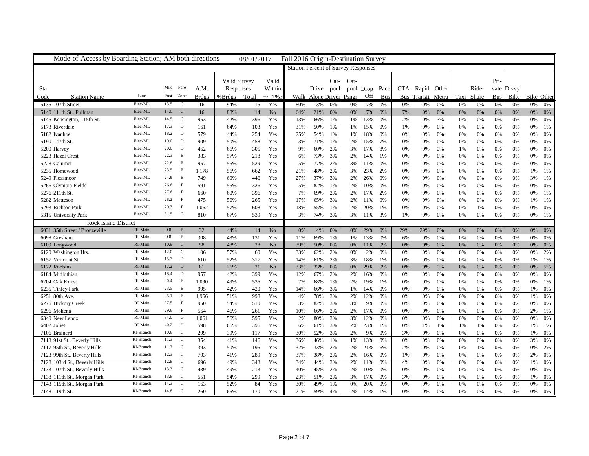| Mode-of-Access by Boarding Station; AM both directions       |                    |              |                   |              |              | 08/01/2017 |                | Fall 2016 Origin-Destination Survey |                                            |          |                |            |          |          |                   |             |            |          |            |            |                 |
|--------------------------------------------------------------|--------------------|--------------|-------------------|--------------|--------------|------------|----------------|-------------------------------------|--------------------------------------------|----------|----------------|------------|----------|----------|-------------------|-------------|------------|----------|------------|------------|-----------------|
|                                                              |                    |              |                   |              |              |            |                |                                     | <b>Station Percent of Survey Responses</b> |          |                |            |          |          |                   |             |            |          |            |            |                 |
|                                                              |                    |              |                   |              | Valid Survey |            | Valid          |                                     |                                            | Car-     | Car-           |            |          |          |                   |             |            |          | Pri-       |            |                 |
| Sta                                                          |                    | Mile Fare    |                   | A.M.         | Responses    |            | Within         |                                     | Drive pool                                 |          | pool Drop Pace |            |          |          | CTA Rapid Other   |             |            | Ride-    |            | vate Divvy |                 |
| <b>Station Name</b><br>Code                                  | Line               | Post Zone    |                   | <b>Brdgs</b> | %Brdgs       | Total      | $+/- 7%$       |                                     | Walk Alone Driver                          |          | Psngr          | Off        | Bus      |          | Bus Transit Metra |             | Taxi Share |          | <b>Bus</b> |            | Bike Bike Other |
| 5135 107th Street                                            | Elec-ML            | 13.5         | <sub>c</sub>      | 16           | 94%          | 15         | Yes            | 80%                                 | 13%                                        | 0%       | 0%             | 7%         | 0%       | 0%       | 0%                | 0%          | 0%         | 0%       | 0%         | 0%         | 0%<br>0%        |
| 5140 111th St., Pullman                                      | Elec-ML            | 14.0         | C                 | 16           | 88%          | 14         | N <sub>o</sub> | 64%                                 | 21%                                        | 0%       |                |            | 0%       | 7%       | 0%                | 0%          | 0%         | 0%       | 0%         | 0%         | 0%<br>0%        |
| 5145 Kensington, 115th St.                                   | Elec-ML            | 14.5         | $\mathbf C$       | 953          | 42%          | 396        | Yes            | 13%                                 | 66%                                        | 1%       | 0%<br>1%       | 7%<br>13%  | 0%       | 2%       | 0%                | 3%          | 0%         | 0%       | 0%         | 0%         | 0%<br>0%        |
| 5173 Riverdale                                               | Elec-ML            | 17.3         | D                 | 161          | 64%          | 103        | Yes            | 31%                                 | 50%                                        | 1%       | 1%             | 15%        | 0%       | 1%       | $0\%$             | $0\%$       | 0%         | 0%       | 0%         | $0\%$      | 0%<br>1%        |
| 5182 Ivanhoe                                                 | Elec-ML            | 18.2         | $\mathbf{D}$      | 579          | 44%          | 254        | Yes            | 25%                                 | 54%                                        | 1%       | 1%             | 18%        | 0%       | 0%       | 0%                | 0%          | 0%         | 0%       | 0%         | 0%         | 0%<br>0%        |
| 5190 147th St.                                               | Elec-ML            | 19.0         | D                 | 909          | 50%          | 458        | Yes            | 3%                                  | 71%                                        | 1%       | 2%             | 15%        | 7%       | 0%       | 0%                | 0%          | 0%         | 0%       | 0%         | 0%         | 0%<br>0%        |
| 5200 Harvey                                                  | Elec-ML            | 20.0         | D                 | 462          | 66%          | 305        | Yes            | 9%                                  | 60%                                        | 2%       | 3%             | 17%        | 8%       | 0%       | 0%                | 0%          | 1%         | 0%       | 0%         | 0%         | 0%<br>0%        |
| 5223 Hazel Crest                                             | Elec-ML            | 22.3         | E                 | 383          | 57%          | 218        | Yes            | 6%                                  | 73%                                        | 3%       | 2%             | 14%        | 1%       | 0%       | 0%                | 0%          | 0%         | 0%       | 0%         | 0%         | 0%<br>0%        |
| 5228 Calumet                                                 | Elec-ML            | 22.8         | E                 | 957          | 55%          | 529        | Yes            | 5%                                  | 77%                                        | 2%       | 3%             | 11%        | 0%       | 0%       | 0%                | 0%          | 0%         | 0%       | 0%         | 0%         | 0%<br>0%        |
| 5235 Homewood                                                | Elec-ML            | 23.5         | E                 | 1,178        | 56%          | 662        | Yes            | 21%                                 | 48%                                        | 2%       | 3%             | 23%        | 2%       | 0%       | 0%                | 0%          | 0%         | 0%       | 0%         | 0%         | 1%<br>1%        |
| 5249 Flossmoor                                               | Elec-ML            | 24.9         | E                 | 749          | 60%          | 446        | Yes            | 27%                                 | 37%                                        | 3%       | 2%             | 26%        | 0%       | 0%       | 0%                | 0%          | 0%         | 0%       | 0%         | 0%         | 3%<br>1%        |
| 5266 Olympia Fields                                          | Elec-ML            | 26.6         | $\mathbf{F}$      | 591          | 55%          | 326        | Yes            | 5%                                  | 82%                                        | 1%       | 2%             | 10%        | 0%       | 0%       | 0%                | 0%          | 0%         | 0%       | 0%         | $0\%$      | 0%<br>0%        |
| 5276 211th St.                                               | Elec-ML            | 27.6         | F                 | 660          | 60%          | 396        | Yes            | 7%                                  | 69%                                        | 2%       | 2%             | 17%        | 2%       | 0%       | 0%                | 0%          | 0%         | 0%       | 0%         | 0%         | 0%<br>1%        |
| 5282 Matteson                                                | Elec-ML            | 28.2         | F                 | 475          | 56%          | 265        | Yes            | 17%                                 | 65%                                        | 3%       | 2%             | 11%        | 0%       | 0%       | 0%                | 0%          | 0%         | 0%       | 0%         | 0%         | 1%<br>1%        |
| 5293 Richton Park                                            | Elec-ML            | 29.3         | $\mathbf{F}$      | 1,062        | 57%          | 608        | Yes            | 18%                                 | 55%                                        | 1%       | 2%             | 20%        | 1%       | 0%       | 0%                | 0%          | 0%         | 1%       | 0%         | 0%         | 0%<br>0%        |
| 5315 University Park                                         | Elec-ML            | 31.5         | G                 | 810          | 67%          | 539        | Yes            | 3%                                  | 74%                                        | 3%       | 3%             | 11%        | 3%       | 1%       | 0%                | 0%          | 0%         | 0%       | 0%         | 0%         | 0%<br>1%        |
| <b>Rock Island District</b>                                  |                    |              |                   |              |              |            |                |                                     |                                            |          |                |            |          |          |                   |             |            |          |            |            |                 |
| 6031 35th Street / Bronzeville                               | RI-Main            | 9.8          | B                 | 32           | 44%          | 14         | No             | 0%                                  | 14%                                        | 0%       | 0%             | 29%        | 0%       | 29%      | 29%               | 0%          | 0%         | 0%       | 0%         | 0%         | 0%<br>0%        |
| 6098 Gresham                                                 | RI-Main            | 9.8          | B                 | 308          | 43%          | 131        | Yes            | 11%                                 | 69%                                        | 1%       | 1%             | 13%        | 0%       | 6%       | 0%                | 0%          | 0%         | 0%       | 0%         | 0%         | 0%<br>- 0%      |
| 6109 Longwood                                                | RI-Main            | 10.9         | $\mathbf C$       | 58           | 48%          | 28         | No             | 39%                                 | 50%                                        | 0%       | 0%             | 11%        | 0%       | 0%       | 0%                | 0%          | 0%         | 0%       | 0%         | 0%         | 0%<br>0%        |
| 6120 Washington Hts.                                         | RI-Main            | 12.0         | $\mathbf C$       | 106          | 57%          | 60         | Yes            | 33%                                 | 62%                                        | 2%       | 0%             | 2%         | 0%       | 0%       | $0\%$             | $0\%$       | 0%         | 0%       | 0%         | 0%         | 0%<br>2%        |
| 6157 Vermont St                                              | RI-Main            | 15.7         | $\mathbf{D}$      | 610          | 52%          | 317        | Yes            | 14%                                 | 61%                                        | 2%       | 3%             | 18%        | 1%       | 0%       | 0%                | 0%          | 0%         | 0%       | 0%         | 0%         | 1%<br>1%        |
| 6172 Robbins                                                 | RI-Main            | $17.2$ D     |                   | 81           | 26%          | 21         | No             | 33%                                 | 33%                                        | 0%       | 0%             | 29%        | 0%       | 0%       | 0%                | 0%          | 0%         | 0%       | 0%         | 0%         | 0%<br>5%        |
| 6184 Midlothian                                              | RI-Main            | 18.4         | D                 | 957          | 42%          | 399        | Yes            | 12%                                 | 67%                                        | 2%       | 2%             | 16%        | 0%       | 0%       | 0%                | 0%          | 0%         | 0%       | 0%         | 0%         | 0%<br>- 0%      |
| 6204 Oak Forest                                              | RI-Main            | 20.4         | E                 | 1,090        | 49%          | 535        | Yes            | 7%                                  | 68%                                        | 1%       | 2%             | 19%        | 1%       | 0%       | 0%                | 0%          | 0%         | 0%       | 0%         | 0%         | 0%<br>1%        |
| 6235 Tinley Park                                             | RI-Main            | 23.5         | E                 | 995          | 42%          | 420        | Yes            | 14%                                 | 66%                                        | 3%       | 1%             | 14%        | 0%       | 0%       | 0%                | 0%          | 0%         | 0%       | 0%         | 0%         | 1%<br>0%        |
| 6251 80th Ave.                                               | RI-Main            | 25.1         | E                 | 1,966        | 51%          | 998        | Yes            | 4%                                  | 78%                                        | 3%       | 2%             | 12%        | 0%       | 0%       | 0%                | 0%          | 0%         | 0%       | 0%         | 0%         | 1%<br>0%        |
| 6275 Hickory Creek                                           | RI-Main            | 27.5         | F<br>$\mathbf{F}$ | 950          | 54%          | 510        | Yes            | 3%                                  | 82%                                        | 3%       | 3%             | 9%         | 0%       | 0%       | 0%                | 0%          | 0%         | 0%       | 0%         | 0%         | 0%<br>0%        |
| 6296 Mokena                                                  | RI-Main<br>RI-Main | 29.6<br>34.0 |                   | 564          | 46%          | 261        | Yes            | 10%                                 | 66%                                        | 2%       | 2%             | 17%        | 0%       | 0%       | $0\%$             | 0%          | 0%         | 0%       | 0%         | 0%         | 2%<br>1%        |
| 6340 New Lenox                                               | RI-Main            | 40.2         | G<br>H            | 1.061        | 56%          | 595        | Yes            | 2%                                  | 80%                                        | 3%       | 3%             | 12%        | 0%       | 0%       | $0\%$             | 0%          | 0%         | 0%       | 0%         | 0%         | 0%<br>0%        |
| 6402 Joliet                                                  | RI-Branch          |              | $\mathbf C$       | 598          | 66%          | 396        | Yes            | 6%                                  | 61%                                        | 3%       | 2%             | 23%        | 1%       | 0%       | 1%                | 1%          | 1%         | 1%       | 0%         | 0%         | 1%<br>1%        |
| 7106 Brainerd                                                | RI-Branch          | 10.6<br>11.3 | $\mathbf C$       | 299<br>354   | 39%<br>41%   | 117<br>146 | Yes<br>Yes     | 30%<br>36%                          | 52%<br>46%                                 | 3%<br>1% | 2%             | 9%<br>13%  | 0%<br>0% | 3%       | 0%                | 0%<br>0%    | 0%         | 0%<br>0% | 0%         | 0%<br>0%   | 1%<br>0%<br>3%  |
| 7113 91st St., Beverly Hills                                 | RI-Branch          | 11.7         | $\mathbf{C}$      | 393          |              |            |                |                                     |                                            |          | 1%             |            |          | 0%       | $0\%$             |             | 0%         |          | 0%         |            | 0%              |
| 7117 95th St., Beverly Hills<br>7123 99th St., Beverly Hills | RI-Branch          | 12.3         | $\mathbf C$       | 703          | 50%          | 195<br>289 | Yes            | 32%<br>37%                          | 33%<br>38%                                 | 2%<br>2% | 2%<br>2%       | 21%        | 6%<br>0% | 2%       | $0\%$<br>0%       | $0\%$<br>0% | 0%<br>0%   | 1%<br>0% | 0%<br>0%   | 0%         | 0%<br>2%<br>2%  |
| 7128 103rd St., Beverly Hills                                | RI-Branch          | 12.8         | C                 | 696          | 41%<br>49%   | 343        | Yes<br>Yes     | 34%                                 | 44%                                        | 3%       | 2%             | 16%<br>11% | 0%       | 1%<br>4% | 0%                | 0%          | 0%         | 0%       | 0%         | 0%<br>0%   | 0%<br>1%<br>0%  |
| 7133 107th St., Beverly Hills                                | RI-Branch          | 13.3         | $\mathbf C$       | 439          | 49%          | 213        | Yes            | 40%                                 | 45%                                        | 2%       | 2%             | 10%        | 0%       | 0%       | 0%                | 0%          | 0%         | 0%       | 0%         | 0%         | 0%<br>0%        |
| 7138 111th St., Morgan Park                                  | RI-Branch          | 13.8         | $\mathbf C$       | 551          | 54%          | 299        | Yes            | 23%                                 | 51%                                        | 2%       | 3%             | 17%        | 0%       | 3%       | 0%                | 0%          | 0%         | 0%       | 0%         | 0%         | 1%<br>0%        |
| 7143 115th St., Morgan Park                                  | RI-Branch          | 14.3         | C                 | 163          | 52%          | 84         | Yes            | 30%                                 | 49%                                        | 1%       | 0%             | 20%        | 0%       | 0%       | 0%                | 0%          | 0%         | 0%       | 0%         | 0%         | 0%<br>0%        |
| 7148 119th St.                                               | RI-Branch          | 14.8         | $\mathbf C$       | 260          | 65%          | 170        | Yes            | 21%                                 | 59%                                        | 4%       | 2%             | 14%        | 1%       | 0%       | 0%                | 0%          | 0%         | 0%       | 0%         | 0%         | 0%<br>0%        |
|                                                              |                    |              |                   |              |              |            |                |                                     |                                            |          |                |            |          |          |                   |             |            |          |            |            |                 |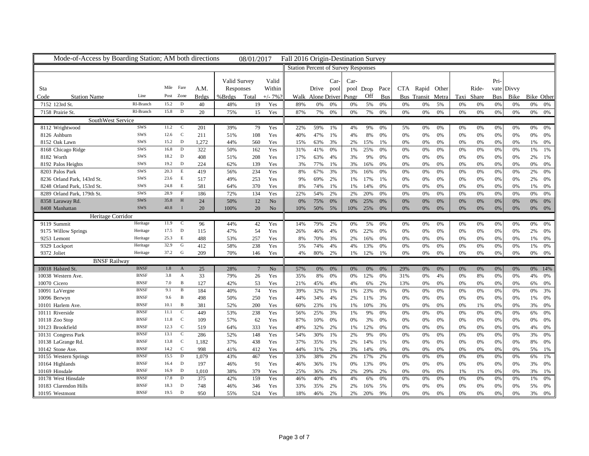| Mode-of-Access by Boarding Station; AM both directions |             |           |              |       |              | 08/01/2017      |                | Fall 2016 Origin-Destination Survey        |                   |      |       |                |     |     |                   |       |    |            |            |    |                 |
|--------------------------------------------------------|-------------|-----------|--------------|-------|--------------|-----------------|----------------|--------------------------------------------|-------------------|------|-------|----------------|-----|-----|-------------------|-------|----|------------|------------|----|-----------------|
|                                                        |             |           |              |       |              |                 |                | <b>Station Percent of Survey Responses</b> |                   |      |       |                |     |     |                   |       |    |            |            |    |                 |
|                                                        |             |           |              |       | Valid Survey |                 | Valid          |                                            |                   | Car- | Car-  |                |     |     |                   |       |    |            | Pri-       |    |                 |
| Sta                                                    |             | Mile Fare |              | A.M.  | Responses    |                 | Within         |                                            | Drive pool        |      |       | pool Drop Pace |     |     | CTA Rapid Other   |       |    | Ride-      | vate Divvy |    |                 |
| Code<br><b>Station Name</b>                            | Line        | Post Zone |              | Brdgs | %Brdgs       | Total           | $+/- 7%$       |                                            | Walk Alone Driver |      | Psngr | Off            | Bus |     | Bus Transit Metra |       |    | Taxi Share | <b>Bus</b> |    | Bike Bike Other |
| 7152 123rd St.                                         | RI-Branch   | 15.2      | D            | 40    | 48%          | 19              | Yes            | 89%                                        | 0%                | 0%   | 0%    | 5%             | 0%  | 0%  | 0%                | 5%    | 0% | 0%         | 0%         | 0% | 0%<br>0%        |
| 7158 Prairie St.                                       | RI-Branch   | 15.8      | D            | 20    | 75%          | 15              | Yes            | 87%                                        | 7%                | 0%   | 0%    | 7%             | 0%  | 0%  | 0%                | 0%    | 0% | 0%         | 0%         | 0% | 0%<br>0%        |
| SouthWest Service                                      |             |           |              |       |              |                 |                |                                            |                   |      |       |                |     |     |                   |       |    |            |            |    |                 |
| 8112 Wrightwood                                        | SWS         | 11.2      | $\mathbf C$  | 201   | 39%          | 79              | Yes            | 22%                                        | 59%               | 1%   | 4%    | 9%             | 0%  | 5%  | 0%                | 0%    | 0% | 0%         | 0%         | 0% | 0%<br>0%        |
| 8126 Ashburn                                           | SWS         | 12.6      | $\mathbf{C}$ | 211   | 51%          | 108             | Yes            | 40%                                        | 47%               | 1%   | 4%    | 8%             | 0%  | 0%  | 0%                | 0%    | 0% | 0%         | 0%         | 0% | 0%<br>0%        |
| 8152 Oak Lawn                                          | SWS         | 15.2      | $\mathbf{D}$ | 1,272 | 44%          | 560             | Yes            | 15%                                        | 63%               | 3%   | 2%    | 15%            | 1%  | 0%  | 0%                | 0%    | 0% | 0%         | 0%         | 0% | 1%<br>0%        |
| 8168 Chicago Ridge                                     | SWS         | 16.8      | D            | 322   | 50%          | 162             | Yes            | 31%                                        | 41%               | 0%   | 1%    | 25%            | 0%  | 0%  | 0%                | 0%    | 0% | 0%         | 0%         | 0% | 1%<br>1%        |
| 8182 Worth                                             | SWS         | 18.2      | $\mathbf{D}$ | 408   | 51%          | 208             | Yes            | 17%                                        | 63%               | 4%   | 3%    | 9%             | 0%  | 0%  | 0%                | $0\%$ | 0% | 0%         | 0%         | 0% | 2%<br>1%        |
| 8192 Palos Heights                                     | SWS         | 19.2      | D            | 224   | 62%          | 139             | Yes            | 3%                                         | 77%               | 1%   | 3%    | 16%            | 0%  | 0%  | 0%                | 0%    | 0% | 0%         | 0%         | 0% | $0\%$<br>0%     |
| 8203 Palos Park                                        | SWS         | 20.3      | $\mathbf E$  | 419   | 56%          | 234             | Yes            | 8%                                         | 67%               | 3%   | 3%    | 16%            | 0%  | 0%  | 0%                | 0%    | 0% | 0%         | 0%         | 0% | 2%<br>0%        |
| 8236 Orland Park, 143rd St.                            | SWS         | 23.6      | E            | 517   | 49%          | 253             | Yes            | 9%                                         | 69%               | 2%   | 1%    | 17%            | 1%  | 0%  | 0%                | 0%    | 0% | 0%         | 0%         | 0% | 2%<br>- 0%      |
| 8248 Orland Park, 153rd St.                            | SWS         | 24.8      | $\,$ E       | 581   | 64%          | 370             | Yes            | 8%                                         | 74%               | 1%   | 1%    | 14%            | 0%  | 0%  | 0%                | 0%    | 0% | 0%         | 0%         | 0% | 1%<br>0%        |
| 8289 Orland Park, 179th St.                            | SWS         | 28.9      | $\mathbf{F}$ | 186   | 72%          | 134             | Yes            | 22%                                        | 54%               | 2%   | 2%    | 20%            | 0%  | 0%  | 0%                | 0%    | 0% | 0%         | 0%         | 0% | 0%<br>0%        |
| 8358 Laraway Rd.                                       | SWS         | 35.8      | H            | 24    | 50%          | 12              | N <sub>o</sub> | 0%                                         | 75%               | 0%   | 0%    | 25%            | 0%  | 0%  | 0%                | 0%    | 0% | 0%         | 0%         | 0% | 0%<br>0%        |
| 8408 Manhattan                                         | <b>SWS</b>  | 40.8      | $\mathbf{I}$ | 20    | 100%         | 20              | N <sub>o</sub> | 10%                                        | 50%               | 5%   | 10%   | 25%            | 0%  | 0%  | 0%                | 0%    | 0% | 0%         | 0%         | 0% | 0%<br>0%        |
| Heritage Corridor                                      |             |           |              |       |              |                 |                |                                            |                   |      |       |                |     |     |                   |       |    |            |            |    |                 |
| 9119 Summit                                            | Heritage    | 11.9      | $\mathbf{C}$ | 96    | 44%          | 42              | Yes            | 14%                                        | 79%               | 2%   | 0%    | 5%             | 0%  | 0%  | 0%                | 0%    | 0% | 0%         | 0%         | 0% | 0%<br>0%        |
| 9175 Willow Springs                                    | Heritage    | 17.5      | $\mathbf{D}$ | 115   | 47%          | 54              | Yes            | 26%                                        | 46%               | 4%   | 0%    | 22%            | 0%  | 0%  | 0%                | 0%    | 0% | $0\%$      | 0%         | 0% | 2%<br>0%        |
| 9253 Lemont                                            | Heritage    | 25.3      | E            | 488   | 53%          | 257             | Yes            | 8%                                         | 70%               | 3%   | 2%    | 16%            | 0%  | 0%  | 0%                | 0%    | 0% | 0%         | 0%         | 0% | 1%<br>0%        |
| 9329 Lockport                                          | Heritage    | 32.9      | G            | 412   | 58%          | 238             | Yes            | 5%                                         | 74%               | 4%   | 4%    | 13%            | 0%  | 0%  | 0%                | 0%    | 0% | 0%         | 0%         | 0% | 1%<br>0%        |
| 9372 Joliet                                            | Heritage    | 37.2 G    |              | 209   | 70%          | 146             | Yes            | 4%                                         | 80%               | 2%   | 1%    | 12%            | 1%  | 0%  | 0%                | 0%    | 0% | $0\%$      | 0%         | 0% | 0%<br>0%        |
| <b>BNSF Railway</b>                                    |             |           |              |       |              |                 |                |                                            |                   |      |       |                |     |     |                   |       |    |            |            |    |                 |
| 10018 Halsted St.                                      | <b>BNSF</b> | 1.8       | $\mathbf{A}$ | 25    | 28%          | $7\phantom{.0}$ | No             | 57%                                        | 0%                | 0%   | 0%    | 0%             | 0%  | 29% | 0%                | 0%    | 0% | 0%         | 0%         | 0% | 0% 14%          |
| 10038 Western Ave.                                     | <b>BNSF</b> | 3.8       | $\mathbf{A}$ | 33    | 79%          | 26              | Yes            | 35%                                        | 8%                | 0%   | 0%    | 12%            | 0%  | 31% | 0%                | 4%    | 0% | $8\%$      | 0%         | 0% | 4%<br>0%        |
| 10070 Cicero                                           | <b>BNSF</b> | 7.0       | $\, {\bf B}$ | 127   | 42%          | 53              | Yes            | 21%                                        | 45%               | 4%   | 4%    | 6%             | 2%  | 13% | $0\%$             | 0%    | 0% | 0%         | 0%         | 0% | 6%<br>0%        |
| 10091 LaVergne                                         | <b>BNSF</b> | 9.1       | $\mathbf{B}$ | 184   | 40%          | 74              | Yes            | 39%                                        | 32%               | 1%   | 1%    | 23%            | 0%  | 0%  | $0\%$             | 0%    | 0% | 0%         | 0%         | 0% | 0%<br>3%        |
| 10096 Berwyn                                           | <b>BNSF</b> | 9.6       | $\mathbf B$  | 498   | 50%          | 250             | Yes            | 44%                                        | 34%               | 4%   | 2%    | 11%            | 3%  | 0%  | 0%                | 0%    | 0% | 0%         | 0%         | 0% | 1%<br>0%        |
| 10101 Harlem Ave.                                      | <b>BNSF</b> | 10.1      | $\mathbf B$  | 381   | 52%          | 200             | Yes            | 60%                                        | 23%               | 1%   | 1%    | 10%            | 3%  | 0%  | 0%                | 0%    | 0% | 1%         | 0%         | 0% | 3%<br>0%        |
| 10111 Riverside                                        | <b>BNSF</b> | 11.1      | $\mathbf C$  | 449   | 53%          | 238             | Yes            | 56%                                        | 25%               | 3%   | 1%    | 9%             | 0%  | 0%  | 0%                | 0%    | 0% | 0%         | 0%         | 0% | 6%<br>0%        |
| 10118 Zoo Stop                                         | <b>BNSF</b> | 11.8      | $\mathbf C$  | 109   | 57%          | 62              | Yes            | 87%                                        | 10%               | 0%   | 0%    | 3%             | 0%  | 0%  | 0%                | 0%    | 0% | 0%         | 0%         | 0% | 0%<br>0%        |
| 10123 Brookfield                                       | <b>BNSF</b> | 12.3      | <sub>c</sub> | 519   | 64%          | 333             | Yes            | 49%                                        | 32%               | 2%   | 1%    | 12%            | 0%  | 0%  | 0%                | 0%    | 0% | 0%         | 0%         | 0% | 4%<br>0%        |
| 10131 Congress Park                                    | <b>BNSF</b> | 13.1      | $\mathbf C$  | 286   | 52%          | 148             | Yes            | 54%                                        | 30%               | 1%   | 2%    | 9%             | 0%  | 0%  | 0%                | 0%    | 0% | 0%         | 0%         | 0% | 3%<br>0%        |
| 10138 LaGrange Rd.                                     | <b>BNSF</b> | 13.8 C    |              | 1,182 | 37%          | 438             | Yes            | 37%                                        | 35%               | 1%   | 2%    | 14%            | 1%  | 0%  | 0%                | 0%    | 0% | $0\%$      | 0%         | 0% | 8%<br>0%        |
| 10142 Stone Ave.                                       | <b>BNSF</b> | 14.2      | $\mathbf C$  | 998   | 41%          | 412             | Yes            | 44%                                        | 31%               | 2%   | 3%    | 14%            | 0%  | 0%  | 0%                | 0%    | 0% | 0%         | 0%         | 0% | 5%<br>1%        |
| 10155 Western Springs                                  | <b>BNSF</b> | 15.5      | D            | 1,079 | 43%          | 467             | Yes            | 33%                                        | 38%               | 2%   | 2%    | 17%            | 2%  | 0%  | 0%                | 0%    | 0% | 0%         | 0%         | 0% | 6%<br>1%        |
| 10164 Highlands                                        | <b>BNSF</b> | 16.4      | D            | 197   | 46%          | 91              | Yes            | 46%                                        | 36%               | 1%   | 0%    | 13%            | 0%  | 0%  | 0%                | 0%    | 0% | 0%         | 0%         | 0% | 3%<br>0%        |
| 10169 Hinsdale                                         | <b>BNSF</b> | 16.9      | $\mathbf{D}$ | 1,010 | 38%          | 379             | Yes            | 25%                                        | 36%               | 2%   | 2%    | 29%            | 2%  | 0%  | 0%                | 0%    | 1% | 1%         | 0%         | 0% | 3%<br>1%        |
| 10178 West Hinsdale                                    | <b>BNSF</b> | 17.8      | D            | 375   | 42%          | 159             | Yes            | 46%                                        | 40%               | 4%   | 4%    | 6%             | 0%  | 0%  | 0%                | 0%    | 0% | 0%         | 0%         | 0% | 1%<br>0%        |
| 10183 Clarendon Hills                                  | <b>BNSF</b> | 18.3      | D            | 748   | 46%          | 346             | Yes            | 33%                                        | 35%               | 2%   | 2%    | 16%            | 5%  | 0%  | 0%                | 0%    | 0% | 0%         | 0%         | 0% | 5%<br>0%        |
| 10195 Westmont                                         | <b>BNSF</b> | 19.5      | D            | 950   | 55%          | 524             | Yes            | 18%                                        | 46%               | 2%   | 2%    | 20%            | 9%  | 0%  | 0%                | 0%    | 0% | 0%         | 0%         | 0% | 3%<br>0%        |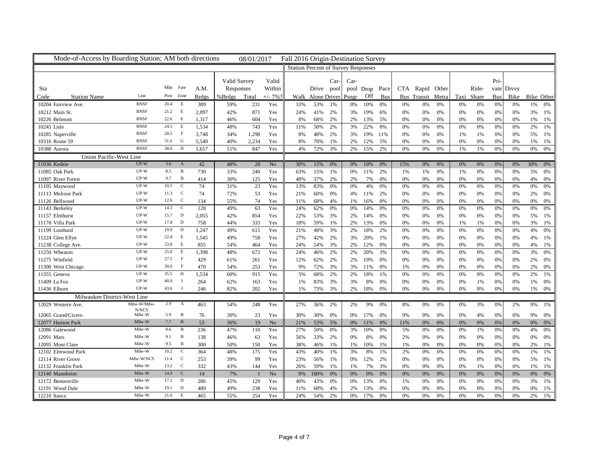| Mode-of-Access by Boarding Station; AM both directions |                            |              |                   |              |              | 08/01/2017   |                | Fall 2016 Origin-Destination Survey |                                            |          |                |            |            |          |                   |          |    |            |            |            |                 |
|--------------------------------------------------------|----------------------------|--------------|-------------------|--------------|--------------|--------------|----------------|-------------------------------------|--------------------------------------------|----------|----------------|------------|------------|----------|-------------------|----------|----|------------|------------|------------|-----------------|
|                                                        |                            |              |                   |              |              |              |                |                                     | <b>Station Percent of Survey Responses</b> |          |                |            |            |          |                   |          |    |            |            |            |                 |
|                                                        |                            |              |                   |              | Valid Survey |              | Valid          |                                     |                                            | Car-     | Car-           |            |            |          |                   |          |    |            | Pri-       |            |                 |
| Sta                                                    |                            | Mile Fare    |                   | A.M.         | Responses    |              | Within         |                                     | Drive pool                                 |          | pool Drop Pace |            |            |          | CTA Rapid Other   |          |    | Ride-      |            | vate Divvy |                 |
| Code<br><b>Station Name</b>                            | Line                       | Post Zone    |                   | <b>Brdgs</b> | %Brdgs       | Total        | $+/- 7%$       |                                     | Walk Alone Driver                          |          | Psngr          | Off        | <b>Bus</b> |          | Bus Transit Metra |          |    | Taxi Share | <b>Bus</b> |            | Bike Bike Other |
| 10204 Fairview Ave.                                    | <b>BNSF</b>                | 20.4         | E                 | 389          | 59%          |              |                | 33%                                 | 53%                                        |          | 0%             |            | 0%         |          |                   |          |    |            |            |            | 1%              |
|                                                        | <b>BNSF</b>                | 21.2         | $\,$ E            |              |              | 231          | Yes            |                                     |                                            | 1%       |                | 10%        |            | 0%       | 0%                | 0%       | 0% | 0%         | 0%         | 0%         | 0%              |
| 10212 Main St.                                         |                            |              |                   | 2,097        | 42%          | 871          | Yes            | 24%                                 | 41%                                        | 2%       | 3%             | 19%        | 6%         | 0%       | 0%                | 0%       | 0% | 0%         | 0%         | 0%         | 3%<br>1%        |
| 10226 Belmont                                          | <b>BNSF</b><br><b>BNSF</b> | 22.6<br>24.5 | E<br>$\,$ E       | 1,317        | 46%          | 604          | Yes            | 8%                                  | 68%                                        | 2%       | 2%             | 13%        | 5%         | 0%       | 0%                | 0%       | 0% | 0%         | 0%         | 0%         | 1%<br>1%        |
| 10245 Lisle                                            |                            |              |                   | 1,534        | 48%          | 743          | Yes            | 11%                                 | 50%                                        | 2%       | 3%             | 22%        | 8%         | 0%       | 0%                | 0%       | 0% | 0%         | 0%         | 0%         | 2%<br>1%        |
| 10285 Naperville                                       | <b>BNSF</b><br><b>BNSF</b> | 28.5         | $\mathbf{F}$<br>G | 3,748        | 34%          | 1,290        | Yes            | 8%                                  | 48%                                        | 2%       | 3%             | 19%        | 11%        | 0%       | 0%                | 0%       | 1% | 1%         | 0%         | 0%         | 5%<br>1%        |
| 10316 Route 59                                         | <b>BNSF</b>                | 31.6         | H                 | 5,540        | 40%          | 2,234        | Yes            | 8%                                  | 70%                                        | 1%       | 2%             | 12%        | 5%         | 0%       | 0%                | 0%       | 0% | 0%         | 0%         | 0%         | 1%<br>1%        |
| 10380 Aurora                                           |                            | 38.0         |                   | 1,657        | 51%          | 847          | Yes            | 4%                                  | 72%                                        | 3%       | 2%             | 15%        | 2%         | 0%       | 0%                | 0%       | 1% | 1%         | 0%         | 0%         | 0%<br>0%        |
| Union Pacific-West Line                                |                            |              |                   |              |              |              |                |                                     |                                            |          |                |            |            |          |                   |          |    |            |            |            |                 |
| 11036 Kedzie                                           | $UP-W$                     | $3.6$ A      |                   | 42           | 48%          | 20           | N <sub>o</sub> | 30%                                 | 15%                                        | 0%       | 0%             | 10%        | 0%         | 15%      | 0%                | 0%       | 0% | 0%         | 0%         | 0%         | 30%<br>$0\%$    |
| 11085 Oak Park                                         | UP-W                       | 8.5          | $\, {\bf B}$      | 730          | 33%          | 240          | Yes            | 63%                                 | 15%                                        | 1%       | 0%             | 11%        | 2%         | 1%       | 1%                | 0%       | 1% | 0%         | 0%         | 0%         | 5%<br>0%        |
| 11097 River Forest                                     | UP-W                       | 9.7          | $\mathbf B$       | 414          | 30%          | 125          | Yes            | 48%                                 | 37%                                        | 2%       | 2%             | 7%         | 0%         | 0%       | 0%                | 0%       | 0% | 0%         | 0%         | 0%         | 4%<br>0%        |
| 11105 Maywood                                          | $UP-W$                     | 10.5         | $\mathbf C$       | 74           | 31%          | 23           | Yes            | 13%                                 | 83%                                        | 0%       | 0%             | 4%         | 0%         | 0%       | 0%                | 0%       | 0% | 0%         | 0%         | 0%         | 0%<br>0%        |
| 11113 Melrose Park                                     | UP-W                       | 11.3         | $\mathbf C$       | 74           | 72%          | 53           | Yes            | 21%                                 | 60%                                        | 0%       | 4%             | 11%        | 2%         | 0%       | 0%                | 0%       | 0% | 0%         | 0%         | 0%         | 2%<br>- 0%      |
| 11126 Bellwood                                         | UP-W                       | 12.6         | $\mathbf C$       | 134          | 55%          | 74           | Yes            | 11%                                 | 68%                                        | 4%       | 1%             | 16%        | 0%         | 0%       | 0%                | 0%       | 0% | 0%         | 0%         | 0%         | 0%<br>0%        |
| 11143 Berkeley                                         | $UP-W$                     | 14.3         | $\mathbf{C}$      | 128          | 49%          | 63           | Yes            | 24%                                 | 62%                                        | 0%       | 0%             | 14%        | 0%         | 0%       | 0%                | 0%       | 0% | 0%         | 0%         | 0%         | 0%<br>0%        |
| 11157 Elmhurst                                         | UP-W                       | 15.7         | $\mathbf{D}$      | 2,055        | 42%          | 854          | Yes            | 22%                                 | 53%                                        | 3%       | 2%             | 14%        | 0%         | 0%       | 0%                | 0%       | 0% | 0%         | 0%         | 0%         | 5%<br>1%        |
| 11178 Villa Park                                       | UP-W                       | 17.8         | D                 | 758          | 44%          | 333          | Yes            | 18%                                 | 59%                                        | 1%       | 2%             | 13%        | 0%         | 0%       | 0%                | 0%       | 1% | 1%         | 0%         | 0%         | 3%<br>1%        |
| 11199 Lombard                                          | UP-W                       | 19.9         | D                 | 1,247        | 49%          | 615          | Yes            | 21%                                 | 48%                                        | 3%       | 2%             | 18%        | 2%         | 0%       | 0%                | 0%       | 0% | 0%         | 0%         | 0%         | 4%<br>0%        |
| 11224 Glen Ellyn                                       | UP-W                       | 22.4         | E                 | 1,545        | 49%          | 758          | Yes            | 27%                                 | 42%                                        | 2%       | 3%             | 20%        | 1%         | 0%       | 0%                | 0%       | 0% | 0%         | 0%         | 0%         | 4%<br>1%        |
| 11238 College Ave.                                     | UP-W                       | 23.8         | E                 | 855          | 54%          | 464          | Yes            | 24%                                 | 54%                                        | 3%       | 2%             | 12%        | 0%         | 0%       | 0%                | 0%       | 0% | 0%         | 0%         | 0%         | 4%<br>1%        |
| 11250 Wheaton                                          | $UP-W$                     | 25.0         | E                 | 1,398        | 48%          | 672          | Yes            | 24%                                 | 46%                                        | 2%       | 2%             | 20%        | 3%         | 0%       | 0%                | 0%       | 0% | 0%         | 0%         | 0%         | 3%<br>0%        |
| 11275 Winfield                                         | UP-W                       | 27.5         | $\mathbf{F}$      | 429          | 61%          | 261          | Yes            | 12%                                 | 62%                                        | 2%       | 2%             | 19%        | 0%         | 0%       | 0%                | 0%       | 0% | 0%         | 0%         | 0%         | 2%<br>0%        |
| 11300 West Chicago                                     | UP-W                       | 30.0         | $\mathbf{F}$      | 470          | 54%          | 253          | Yes            | 9%                                  | 72%                                        | 3%       | 3%             | 11%        | 0%         | 1%       | 0%                | 0%       | 0% | 0%         | 0%         | 0%         | 2%<br>0%        |
| 11355 Geneva                                           | $UP-W$                     | 35.5         | H                 | 1,534        | 60%          | 915          | Yes            | 5%                                  | 68%                                        | 2%       | 2%             | 18%        | 1%         | 0%       | 0%                | 0%       | 0% | 0%         | 0%         | 0%         | 2%<br>1%        |
| 11409 La Fox                                           | UP-W                       | 40.9         | - 1               | 264          | 62%          | 163          | Yes            | 1%                                  | 83%                                        | 3%       | 3%             | 8%         | 0%         | 0%       | 0%                | 0%       | 0% | 1%         | 0%         | 0%         | 1%<br>0%        |
| 11436 Elburn                                           | $UP-W$                     | 43.6         | $\mathbf{I}$      | 246          | 82%          | 202          | Yes            | 1%                                  | 73%                                        | 3%       | 2%             | 18%        | 0%         | 0%       | 0%                | 0%       | 0% | 0%         | 0%         | 0%         | 1%<br>0%        |
| Milwaukee District-West Line                           |                            |              |                   |              |              |              |                |                                     |                                            |          |                |            |            |          |                   |          |    |            |            |            |                 |
| 12029 Western Ave.                                     | Milw-W/Milw                | 2.9          | A                 | 463          | 54%          | 248          | Yes            | 27%                                 | 36%                                        | 2%       | 2%             | 9%         | 0%         | 8%       | 0%                | 0%       | 0% | 3%         | 0%         | 2%         | 9%<br>1%        |
| 12065 Grand/Cicero                                     | N/NCS<br>Milw-W            | 5.9          | $\mathbf{B}$      | 76           | 30%          | 23           | Yes            | 30%                                 | 30%                                        | 0%       | 0%             | 17%        | 0%         | 9%       | 0%                | 0%       | 0% | 4%         | 0%         | 0%         | 9%<br>0%        |
| 12077 Hanson Park                                      | Milw-W                     | 7.7          | $\mathbf{B}$      | 53           | 36%          | 19           | No             | 21%                                 | 53%                                        | 5%       | 0%             | 11%        | 0%         | 11%      | 0%                | 0%       | 0% | $0\%$      | 0%         | 0%         | 0% 0%           |
| 12086 Galewood                                         | Milw-W                     | 8.6          | $\mathbf B$       | 236          | 47%          | 110          | Yes            | 27%                                 | 50%                                        | 0%       | 3%             | 10%        | 0%         | 5%       | 0%                | 0%       | 0% | 1%         | 0%         | 0%         | 4%<br>0%        |
| 12091 Mars                                             | Milw-W                     | 9.1          | $\mathbf{B}$      | 138          | 46%          | 63           | Yes            | 56%                                 | 33%                                        | 2%       | 0%             | 8%         | 0%         | 2%       | 0%                | 0%       | 0% | 0%         | 0%         | 0%         | 0%<br>0%        |
| 12095 Mont Clare                                       | Milw-W                     | 9.5          | $\, {\bf B}$      | 300          | 50%          | 150          | Yes            | 38%                                 | 46%                                        | 1%       | 1%             | 10%        | 1%         | 1%       | 0%                | 0%       | 0% | 0%         | 0%         | 0%         | 2%<br>1%        |
| 12102 Elmwood Park                                     | Milw-W                     | 10.2         | $\mathbf{C}$      | 364          | 48%          | 175          | Yes            | 43%                                 | 40%                                        | 1%       | 3%             | 8%         | 1%         | 2%       | 0%                | 0%       | 0% | 0%         | 0%         | 0%         | 1%<br>1%        |
| 12114 River Grove                                      | Milw-W/NCS                 | 11.4         | $\mathbf{C}$      | 253          | 39%          | 99           | Yes            | 23%                                 | 56%                                        | 1%       | 0%             | 12%        | 2%         | 0%       | 0%                | 0%       | 0% | 0%         | 0%         | 0%         | 5%<br>1%        |
| 12132 Franklin Park                                    | Milw-W                     | 13.2 C       |                   | 332          | 43%          | 144          | Yes            | 26%                                 | 59%                                        | 1%       | 1%             | 7%         | 3%         | 0%       | 0%                | 0%       | 0% | 1%         | 0%         | 0%         | 1%<br>1%        |
| 12140 Mannheim                                         | Milw-W                     | 14.0         | C                 | 14           | 7%           | $\mathbf{1}$ | N <sub>o</sub> | 0%                                  | 100%                                       | 0%       | 0%             | 0%         | 0%         | 0%       | 0%                | 0%       | 0% | 0%         | 0%         | 0%         | 0%<br>0%        |
|                                                        | Milw-W                     | 17.2 D       |                   | 286          |              |              |                | 40%                                 |                                            |          |                |            | 0%         |          |                   |          | 0% |            |            |            |                 |
| 12172 Bensenville<br>12191 Wood Dale                   | Milw-W                     | 19.1         | D                 | 489          | 45%<br>49%   | 129<br>238   | Yes<br>Yes     |                                     | 43%<br>68%                                 | 0%<br>4% | 0%<br>2%       | 13%<br>13% | 0%         | 1%       | 0%<br>0%          | 0%<br>0% | 0% | 0%<br>0%   | 0%<br>0%   | 0%         | 3%<br>1%<br>0%  |
| 12210 Itasca                                           | Milw-W                     | 21.0         | $\,$ E            | 465          | 55%          | 254          | Yes            | 11%<br>24%                          | 54%                                        | 2%       | 0%             | 17%        | 0%         | 0%<br>0% | 0%                | 0%       | 0% | 0%         | 0%         | 0%<br>0%   | 1%<br>2%<br>1%  |
|                                                        |                            |              |                   |              |              |              |                |                                     |                                            |          |                |            |            |          |                   |          |    |            |            |            |                 |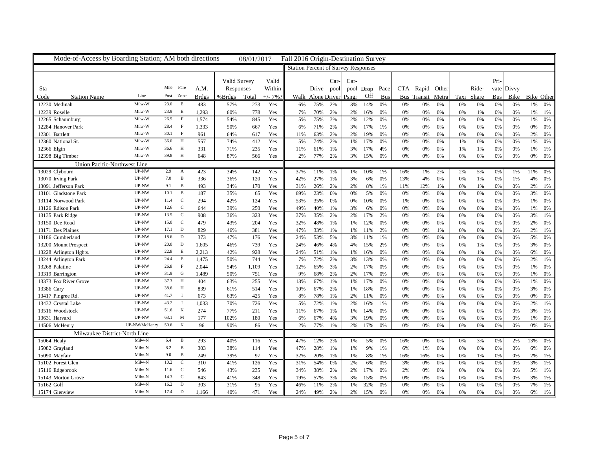| Mode-of-Access by Boarding Station; AM both directions |                |           |                |              |              | 08/01/2017 |          | Fall 2016 Origin-Destination Survey        |                   |      |       |                |            |     |                   |    |    |            |            |    |                 |
|--------------------------------------------------------|----------------|-----------|----------------|--------------|--------------|------------|----------|--------------------------------------------|-------------------|------|-------|----------------|------------|-----|-------------------|----|----|------------|------------|----|-----------------|
|                                                        |                |           |                |              |              |            |          | <b>Station Percent of Survey Responses</b> |                   |      |       |                |            |     |                   |    |    |            |            |    |                 |
|                                                        |                |           |                |              |              |            |          |                                            |                   |      |       |                |            |     |                   |    |    |            |            |    |                 |
|                                                        |                |           |                |              | Valid Survey |            | Valid    |                                            |                   | Car- | Car-  |                |            |     |                   |    |    |            | Pri-       |    |                 |
| Sta                                                    |                | Mile Fare |                | A.M.         | Responses    |            | Within   |                                            | Drive pool        |      |       | pool Drop Pace |            |     | CTA Rapid Other   |    |    | Ride-      | vate Divvy |    |                 |
| Code<br><b>Station Name</b>                            | Line           |           | Post Zone      | <b>Brdgs</b> | %Brdgs       | Total      | $+/- 7%$ |                                            | Walk Alone Driver |      | Psngr | Off            | <b>Bus</b> |     | Bus Transit Metra |    |    | Taxi Share | <b>Bus</b> |    | Bike Bike Other |
| 12230 Medinah                                          | Milw-W         | 23.0      | E              | 483          | 57%          | 273        | Yes      | 6%                                         | 75%               | 2%   | 3%    | 14%            | 0%         | 0%  | 0%                | 0% | 0% | 0%         | 0%         | 0% | 1%<br>0%        |
| 12239 Roselle                                          | Milw-W         | 23.9      | E              | 1,293        | 60%          | 778        | Yes      | 7%                                         | 70%               | 2%   | 2%    | 16%            | 0%         | 0%  | 0%                | 0% | 0% | 1%         | 0%         | 0% | 1%<br>1%        |
| 12265 Schaumburg                                       | Milw-W         | 26.5      | $\,$ F         | 1,574        | 54%          | 845        | Yes      | 5%                                         | 75%               | 3%   | 2%    | 12%            | 0%         | 0%  | 0%                | 0% | 0% | 0%         | 0%         | 0% | 1%<br>0%        |
| 12284 Hanover Park                                     | Milw-W         | 28.4      | $\mathbf{F}$   | 1,333        | 50%          | 667        | Yes      | 6%                                         | 71%               | 2%   | 3%    | 17%            | 1%         | 0%  | 0%                | 0% | 0% | 0%         | 0%         | 0% | 0%<br>0%        |
| 12301 Bartlett                                         | Milw-W         | 30.1      | $\mathbf{F}$   | 961          | 64%          | 617        | Yes      | 11%                                        | 63%               | 2%   | 2%    | 19%            | 0%         | 0%  | 0%                | 0% | 0% | 0%         | 0%         | 0% | 2%<br>0%        |
| 12360 National St.                                     | Milw-W         | 36.0      | H              | 557          | 74%          | 412        | Yes      | 5%                                         | 74%               | 2%   | 1%    | 17%            | 0%         | 0%  | 0%                | 0% | 1% | 0%         | 0%         | 0% | 1%<br>0%        |
| 12366 Elgin                                            | Milw-W         | 36.6      | H              | 331          | 71%          | 235        | Yes      | 11%                                        | 61%               | 1%   | 3%    | 17%            | 4%         | 0%  | 0%                | 0% | 1% | 1%         | 0%         | 0% | 1%<br>1%        |
| 12398 Big Timber                                       | Milw-W         | 39.8 H    |                | 648          | 87%          | 566        | Yes      | 2%                                         | 77%               | 2%   | 3%    | 15%            | 0%         | 0%  | 0%                | 0% | 0% | 0%         | 0%         | 0% | 0%<br>0%        |
| Union Pacific-Northwest Line                           |                |           |                |              |              |            |          |                                            |                   |      |       |                |            |     |                   |    |    |            |            |    |                 |
| 13029 Clybourn                                         | UP-NW          | 2.9       | A              | 423          | 34%          | 142        | Yes      | 37%                                        | 11%               | 1%   | 1%    | 10%            | 1%         | 16% | 1%                | 2% | 2% | 5%         | 0%         | 1% | 11%<br>0%       |
| 13070 Irving Park                                      | UP-NW          | 7.0       | $\mathbf B$    | 336          | 36%          | 120        | Yes      | 42%                                        | 27%               | 1%   | 3%    | 6%             | 0%         | 13% | 4%                | 0% | 0% | 1%         | 0%         | 1% | 4%<br>0%        |
| 13091 Jefferson Park                                   | UP-NW          | 9.1       | $\, {\bf B}$   | 493          | 34%          | 170        | Yes      | 31%                                        | 26%               | 2%   | 2%    | 8%             | 1%         | 11% | 12%               | 1% | 0% | 1%         | 0%         | 0% | 2%<br>1%        |
| 13101 Gladstone Park                                   | UP-NW          | 10.1      | $\, {\bf B}$   | 187          | 35%          | 65         | Yes      | 69%                                        | 23%               | 0%   | 0%    | 5%             | 0%         | 0%  | 0%                | 0% | 0% | 0%         | 0%         | 0% | 3%<br>0%        |
| 13114 Norwood Park                                     | UP-NW          | 11.4      | $\mathbf C$    | 294          | 42%          | 124        | Yes      | 53%                                        | 35%               | 0%   | 0%    | 10%            | 0%         | 1%  | 0%                | 0% | 0% | 0%         | 0%         | 0% | 1%<br>0%        |
| 13126 Edison Park                                      | UP-NW          | 12.6      | $\mathbf C$    | 644          | 39%          | 250        | Yes      | 49%                                        | 40%               | 1%   | 3%    | 6%             | 0%         | 0%  | 0%                | 0% | 0% | 0%         | 0%         | 0% | 1%<br>0%        |
| 13135 Park Ridge                                       | UP-NW          | 13.5      | $\mathbf C$    | 908          | 36%          | 323        | Yes      | 37%                                        | 35%               | 2%   | 2%    | 17%            | 2%         | 0%  | 0%                | 0% | 0% | 0%         | 0%         | 0% | 3%<br>1%        |
| 13150 Dee Road                                         | $UP\text{-}NW$ | 15.0      | $\overline{C}$ | 479          | 43%          | 204        | Yes      | 32%                                        | 48%               | 1%   | 1%    | 12%            | 0%         | 0%  | 0%                | 0% | 0% | 0%         | 0%         | 0% | 2%<br>0%        |
| 13171 Des Plaines                                      | UP-NW          | 17.1      | D              | 829          | 46%          | 381        | Yes      | 47%                                        | 33%               | 1%   | 1%    | 11%            | 2%         | 0%  | 0%                | 1% | 0% | 0%         | 0%         | 0% | 2%<br>1%        |
| 13186 Cumberland                                       | UP-NW          | 18.6      | D              | 373          | 47%          | 176        | Yes      | 24%                                        | 53%               | 5%   | 3%    | 11%            | 1%         | 0%  | 0%                | 0% | 0% | 0%         | 0%         | 0% | 5%<br>0%        |
| 13200 Mount Prospect                                   | UP-NW          | 20.0      | D              | 1,605        | 46%          | 739        | Yes      | 24%                                        | 46%               | 4%   | 4%    | 15%            | 2%         | 0%  | 0%                | 0% | 0% | 1%         | 0%         | 0% | 3%<br>0%        |
| 13228 Arlington Hghts                                  | UP-NW          | 22.8      | E              | 2,213        | 42%          | 928        | Yes      | 24%                                        | 51%               | 1%   | 1%    | 16%            | 0%         | 0%  | 0%                | 0% | 0% | 1%         | 0%         | 0% | 6%<br>0%        |
| 13244 Arlington Park                                   | UP-NW          | 24.4      | E              | 1,475        | 50%          | 744        | Yes      | 7%                                         | 72%               | 2%   | 3%    | 13%            | 0%         | 0%  | 0%                | 0% | 0% | 0%         | 0%         | 0% | 2%<br>1%        |
| 13268 Palatine                                         | UP-NW          | 26.8      | $\mathbf{F}$   | 2,044        | 54%          | 1,109      | Yes      | 12%                                        | 65%               | 3%   | 2%    | 17%            | 0%         | 0%  | 0%                | 0% | 0% | 0%         | 0%         | 0% | 1%<br>0%        |
| 13319 Barrington                                       | UP-NW          | 31.9      | $\mathbf G$    | 1,489        | 50%          | 751        | Yes      | 9%                                         | 68%               | 2%   | 2%    | 17%            | 0%         | 0%  | 0%                | 0% | 0% | 0%         | 0%         | 0% | 1%<br>0%        |
| 13373 Fox River Grove                                  | UP-NW          | 37.3      | H              | 404          | 63%          | 255        | Yes      | 13%                                        | 67%               | 1%   | 1%    | 17%            | 0%         | 0%  | 0%                | 0% | 0% | 0%         | 0%         | 0% | 1%<br>0%        |
| 13386 Cary                                             | UP-NW          | 38.6      | H              | 839          | 61%          | 514        | Yes      | 10%                                        | 67%               | 2%   | 1%    | 18%            | 0%         | 0%  | 0%                | 0% | 0% | 0%         | 0%         | 0% | 3%<br>0%        |
| 13417 Pingree Rd.                                      | UP-NW          | 41.7      | $\mathbf{I}$   | 673          | 63%          | 425        | Yes      | 8%                                         | 78%               | 1%   | 2%    | 11%            | 0%         | 0%  | $0\%$             | 0% | 0% | 0%         | 0%         | 0% | 0%<br>0%        |
| 13432 Crystal Lake                                     | UP-NW          | 43.2      | $\mathbf{I}$   | 1,033        | 70%          | 726        | Yes      | 5%                                         | 72%               | 1%   | 2%    | 16%            | 1%         | 0%  | 0%                | 0% | 0% | 0%         | 0%         | 0% | 2%<br>1%        |
| 13516 Woodstock                                        | UP-NW          | 51.6      | $\mathbf K$    | 274          | 77%          | 211        | Yes      | 11%                                        | 67%               | 1%   | 1%    | 14%            | 0%         | 0%  | 0%                | 0% | 0% | 0%         | 0%         | 0% | 3%<br>1%        |
| 13631 Harvard                                          | UP-NW          | 63.1      | M              | 177          | 102%         | 180        | Yes      | 6%                                         | 67%               | 4%   | 3%    | 19%            | 0%         | 0%  | 0%                | 0% | 0% | 0%         | 0%         | 0% | 1%<br>0%        |
| 14506 McHenry                                          | UP-NW/McHenry  | 50.6      | K              | 96           | 90%          | 86         | Yes      | 2%                                         | 77%               | 1%   | 2%    | 17%            | 0%         | 0%  | 0%                | 0% | 0% | 0%         | 0%         | 0% | 0%<br>0%        |
| Milwaukee District-North Line                          |                |           |                |              |              |            |          |                                            |                   |      |       |                |            |     |                   |    |    |            |            |    |                 |
| 15064 Healy                                            | Milw-N         | 6.4       | $\mathbf{B}$   | 293          | 40%          | 116        | Yes      | 47%                                        | 12%               | 2%   | 1%    | 5%             | 0%         | 16% | 0%                | 0% | 0% | 3%         | 0%         | 2% | 13%<br>0%       |
| 15082 Grayland                                         | Milw-N         | 8.2       | $\mathbf B$    | 303          | 38%          | 114        | Yes      | 47%                                        | 28%               | 1%   | 1%    | 9%             | 1%         | 6%  | 1%                | 0% | 0% | 0%         | 0%         | 0% | 6%<br>0%        |
| 15090 Mayfair                                          | Milw-N         | 9.0       | $\, {\bf B}$   | 249          | 39%          | 97         | Yes      | 32%                                        | 20%               | 1%   | 1%    | 8%             | 1%         | 16% | 16%               | 0% | 0% | 1%         | 0%         | 0% | 2%<br>1%        |
| 15102 Forest Glen                                      | Milw-N         | 10.2      | $\mathbf C$    | 310          | 41%          | 126        | Yes      | 31%                                        | 54%               | 0%   | 2%    | 6%             | 0%         | 3%  | 0%                | 0% | 0% | 0%         | 0%         | 0% | 3%<br>1%        |
| 15116 Edgebrook                                        | Milw-N         | 11.6 C    |                | 546          | 43%          | 235        | Yes      | 34%                                        | 38%               | 2%   | 2%    | 17%            | 0%         | 2%  | 0%                | 0% | 0% | 0%         | 0%         | 0% | 5%<br>1%        |
| 15143 Morton Grove                                     | Milw-N         | 14.3      | $\mathbf C$    | 843          | 41%          | 348        | Yes      | 19%                                        | 57%               | 3%   | 3%    | 15%            | 0%         | 0%  | 0%                | 0% | 0% | 0%         | 0%         | 0% | 3%<br>1%        |
| 15162 Golf                                             | Milw-N         | 16.2      | D              | 303          | 31%          | 95         | Yes      | 46%                                        | 11%               | 2%   | 1%    | 32%            | 0%         | 0%  | 0%                | 0% | 0% | 0%         | 0%         | 0% | 7%<br>1%        |
| 15174 Glenview                                         | Milw-N         | 17.4      | D              | 1,166        | 40%          | 471        | Yes      | 24%                                        | 49%               | 2%   | 2%    | 15%            | 0%         | 0%  | 0%                | 0% | 0% | 0%         | 0%         | 0% | 6%<br>1%        |
|                                                        |                |           |                |              |              |            |          |                                            |                   |      |       |                |            |     |                   |    |    |            |            |    |                 |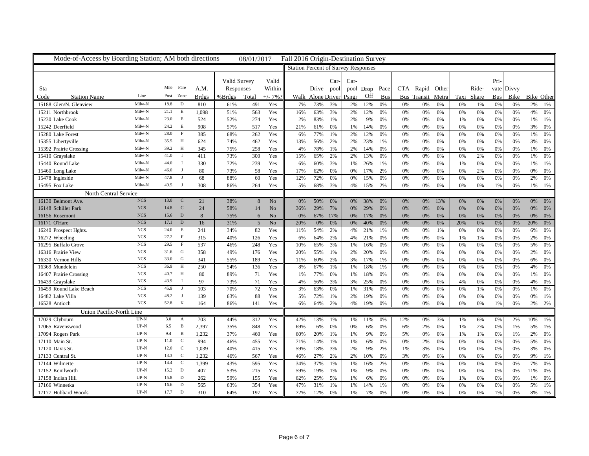| Mode-of-Access by Boarding Station; AM both directions |                                              |        |                |              |              | 08/01/2017      |                | Fall 2016 Origin-Destination Survey |                                            |      |                |     |     |     |                   |       |            |       |            |            |                 |
|--------------------------------------------------------|----------------------------------------------|--------|----------------|--------------|--------------|-----------------|----------------|-------------------------------------|--------------------------------------------|------|----------------|-----|-----|-----|-------------------|-------|------------|-------|------------|------------|-----------------|
|                                                        |                                              |        |                |              |              |                 |                |                                     | <b>Station Percent of Survey Responses</b> |      |                |     |     |     |                   |       |            |       |            |            |                 |
|                                                        |                                              |        |                |              | Valid Survey |                 | Valid          |                                     |                                            | Car- | Car-           |     |     |     |                   |       |            |       | Pri-       |            |                 |
| Sta                                                    |                                              |        | Mile Fare      | A.M.         | Responses    |                 | Within         |                                     | Drive pool                                 |      | pool Drop Pace |     |     |     | CTA Rapid Other   |       |            | Ride- |            | vate Divvy |                 |
| Code<br><b>Station Name</b>                            | Line                                         |        | Post Zone      | <b>Brdgs</b> | %Brdgs       | Total           | $+/- 7%$       |                                     | Walk Alone Driver                          |      | Psngr          | Off | Bus |     | Bus Transit Metra |       | Taxi Share |       | <b>Bus</b> |            | Bike Bike Other |
| 15188 Glen/N. Glenview                                 | Milw-N                                       | 18.8   | D              | 810          | 61%          | 491             | Yes            | 7%                                  | 73%                                        | 3%   | 2%             | 12% | 0%  | 0%  | 0%                | 0%    | 0%         | 1%    | 0%         | 0%         | 2%<br>1%        |
| 15211 Northbrook                                       | Milw-N                                       | 21.1   | E              | 1,098        | 51%          | 563             | Yes            | 16%                                 | 63%                                        | 3%   | 2%             | 12% | 0%  | 0%  | 0%                | 0%    | 0%         | 0%    | 0%         | 0%         | 4%<br>0%        |
| 15230 Lake Cook                                        | Milw-N                                       | 23.0 E |                | 524          | 52%          | 274             | Yes            | 2%                                  | 83%                                        | 1%   | 2%             | 9%  | 0%  | 0%  | 0%                | 0%    | 1%         | 0%    | 0%         | 0%         | 1%<br>1%        |
| 15242 Deerfield                                        | Milw-N                                       | 24.2   | $\,$ E         | 908          | 57%          | 517             | Yes            | 21%                                 | 61%                                        | 0%   | 1%             | 14% | 0%  | 0%  | 0%                | 0%    | 0%         | 0%    | 0%         | 0%         | 3%<br>0%        |
| 15280 Lake Forest                                      | Milw-N                                       | 28.0   | $\mathbf{F}$   | 385          | 68%          | 262             | Yes            | 6%                                  | 77%                                        | 1%   | 2%             | 12% | 0%  | 0%  | 0%                | 0%    | 0%         | 0%    | 0%         | 0%         | 1%<br>0%        |
| 15355 Libertyville                                     | Milw-N                                       | 35.5   | H              | 624          | 74%          | 462             | Yes            | 13%                                 | 56%                                        | 2%   | 2%             | 23% | 1%  | 0%  | 0%                | 0%    | 0%         | 0%    | 0%         | 0%         | 3%<br>0%        |
| 15392 Prairie Crossing                                 | Milw-N                                       | 39.2   | H              | 345          | 75%          | 258             | Yes            | 4%                                  | 78%                                        | 1%   | 2%             | 14% | 0%  | 0%  | 0%                | 0%    | 0%         | 0%    | 0%         | 0%         | 1%<br>0%        |
| 15410 Grayslake                                        | Milw-N                                       | 41.0   |                | 411          | 73%          | 300             | Yes            | 15%                                 | 65%                                        | 2%   | 2%             | 13% | 0%  | 0%  | 0%                | 0%    | 0%         | 2%    | 0%         | 0%         | 1%<br>0%        |
| 15440 Round Lake                                       | Milw-N                                       | 44.0   | $\mathbf{I}$   | 330          | 72%          | 239             | Yes            | 6%                                  | 60%                                        | 3%   | 1%             | 26% | 1%  | 0%  | 0%                | 0%    | 1%         | 0%    | 0%         | 0%         | 1%<br>1%        |
| 15460 Long Lake                                        | Milw-N                                       | 46.0   | J              | 80           | 73%          | 58              | Yes            | 17%                                 | 62%                                        | 0%   | 0%             | 17% | 2%  | 0%  | 0%                | 0%    | 0%         | 2%    | 0%         | 0%         | 0%<br>0%        |
| 15478 Ingleside                                        | Milw-N                                       | 47.8   | - I            | 68           | 88%          | 60              | Yes            | 12%                                 | 72%                                        | 0%   | 0%             | 15% | 0%  | 0%  | 0%                | $0\%$ | 0%         | 0%    | 0%         | 0%         | 2%<br>0%        |
| 15495 Fox Lake                                         | Milw-N                                       | 49.5   | $\blacksquare$ | 308          | 86%          | 264             | Yes            | 5%                                  | 68%                                        | 3%   | 4%             | 15% | 2%  | 0%  | 0%                | 0%    | 0%         | 0%    | 1%         | 0%         | 1%<br>1%        |
| North Central Service                                  |                                              |        |                |              |              |                 |                |                                     |                                            |      |                |     |     |     |                   |       |            |       |            |            |                 |
| 16130 Belmont Ave.                                     | <b>NCS</b>                                   | 13.0   | <sup>-</sup> C | 21           | 38%          | 8               | N <sub>o</sub> | 0%                                  | 50%                                        | 0%   | 0%             | 38% | 0%  | 0%  | 0%                | 13%   | 0%         | 0%    | 0%         | 0%         | 0%<br>0%        |
| 16148 Schiller Park                                    | <b>NCS</b>                                   | 14.8   | $\mathbf C$    | 24           | 58%          | 14              | N <sub>o</sub> | 36%                                 | 29%                                        | 7%   | 0%             | 29% | 0%  | 0%  | 0%                | 0%    | 0%         | 0%    | 0%         | 0%         | 0%<br>0%        |
| 16156 Rosemont                                         | <b>NCS</b>                                   | 15.6   | $\mathbf D$    | 8            | 75%          | 6               | N <sub>o</sub> | 0%                                  | 67%                                        | 17%  | 0%             | 17% | 0%  | 0%  | 0%                | $0\%$ | 0%         | $0\%$ | 0%         | 0%         | 0%<br>0%        |
| 16171 O'Hare                                           | <b>NCS</b>                                   | 17.1   | $\mathbf{D}$   | 16           | 31%          | $5\phantom{.0}$ | No             | 20%                                 | 0%                                         | 0%   | 0%             | 40% | 0%  | 0%  | 0%                | 0%    | 20%        | 0%    | 0%         | 0%         | 20%<br>0%       |
| 16240 Prospect Hghts                                   | <b>NCS</b>                                   | 24.0   | E              | 241          | 34%          | 82              | Yes            | 11%                                 | 54%                                        | 2%   | 4%             | 21% | 1%  | 0%  | 0%                | 1%    | 0%         | 0%    | 0%         | 0%         | 6%<br>0%        |
| 16272 Wheeling                                         | <b>NCS</b>                                   | 27.2   | $\mathbf{F}$   | 315          | 40%          | 126             | Yes            | 6%                                  | 64%                                        | 2%   | 4%             | 21% | 0%  | 0%  | 0%                | 0%    | 1%         | 1%    | 0%         | 0%         | 2%<br>0%        |
| 16295 Buffalo Grove                                    | <b>NCS</b>                                   | 29.5   | $\,$ F         | 537          | 46%          | 248             | Yes            | 10%                                 | 65%                                        | 3%   | 1%             | 16% | 0%  | 0%  | 0%                | 0%    | 0%         | 0%    | 0%         | 0%         | 5%<br>0%        |
| 16316 Prairie View                                     | <b>NCS</b>                                   | 31.6 G |                | 358          | 49%          | 176             | Yes            | 20%                                 | 55%                                        | 1%   | 2%             | 20% | 0%  | 0%  | 0%                | 0%    | 0%         | 0%    | 0%         | 0%         | 2%<br>0%        |
| 16330 Vernon Hills                                     | <b>NCS</b>                                   | 33.0   | G              | 341          | 55%          | 189             | Yes            | 11%                                 | 60%                                        | 2%   | 3%             | 17% | 1%  | 0%  | $0\%$             | 0%    | 0%         | 0%    | 0%         | 0%         | 6%<br>0%        |
| 16369 Mundelein                                        | <b>NCS</b>                                   | 36.9   | H              | 250          | 54%          | 136             | Yes            | 8%                                  | 67%                                        | 1%   | 1%             | 18% | 1%  | 0%  | 0%                | 0%    | 0%         | 0%    | 0%         | 0%         | 4%<br>0%        |
| 16407 Prairie Crossing                                 | <b>NCS</b>                                   | 40.7   | H              | 80           | 89%          | 71              | Yes            | 1%                                  | 77%                                        | 0%   | 1%             | 18% | 0%  | 0%  | 0%                | 0%    | 0%         | 0%    | 0%         | 0%         | 1%<br>0%        |
| 16439 Grayslake                                        | <b>NCS</b>                                   | 43.9   | $\mathbf{I}$   | 97           | 73%          | 71              | Yes            | 4%                                  | 56%                                        | 3%   | 3%             | 25% | 0%  | 0%  | $0\%$             | 0%    | 4%         | 0%    | 0%         | 0%         | 4%<br>0%        |
| 16459 Round Lake Beach                                 | <b>NCS</b>                                   | 45.9   | J              | 103          | 70%          | 72              | Yes            | 3%                                  | 63%                                        | 0%   | 1%             | 31% | 0%  | 0%  | $0\%$             | 0%    | 0%         | 1%    | 0%         | 0%         | 1%<br>0%        |
| 16482 Lake Villa                                       | <b>NCS</b>                                   | 48.2   | J              | 139          | 63%          | 88              | Yes            | 5%                                  | 72%                                        | 1%   | 2%             | 19% | 0%  | 0%  | 0%                | 0%    | 0%         | 0%    | 0%         | 0%         | 0%<br>1%        |
| 16528 Antioch                                          | <b>NCS</b>                                   | 52.8   | K              | 164          | 86%          | 141             | Yes            | 6%                                  | 64%                                        | 2%   | 4%             | 19% | 0%  | 0%  | 0%                | 0%    | 0%         | 0%    | 1%         | 0%         | 2%<br>2%        |
| Union Pacific-North Line                               |                                              |        |                |              |              |                 |                |                                     |                                            |      |                |     |     |     |                   |       |            |       |            |            |                 |
| 17029 Clybourn                                         | UP-N                                         | 3.0    | A              | 703          | 44%          | 312             | Yes            | 42%                                 | 13%                                        | 1%   | $1\%$          | 11% | 0%  | 12% | 0%                | 3%    | 1%         | 6%    | 0%         | 2%         | 10%<br>1%       |
| 17065 Ravenswood                                       | $_{\rm UP\text{-}N}$                         | 6.5    | $\mathbf B$    | 2,397        | 35%          | 848             | Yes            | 69%                                 | 6%                                         | 0%   | 0%             | 6%  | 0%  | 6%  | 2%                | 0%    | 1%         | 2%    | 0%         | 1%         | 5%<br>1%        |
| 17094 Rogers Park                                      | $\ensuremath{\mathsf{UP}\text{-}\mathsf{N}}$ | 9.4    | $\mathbf{B}$   | 1,232        | 37%          | 460             | Yes            | 60%                                 | 20%                                        | 1%   | 1%             | 9%  | 0%  | 5%  | 0%                | 0%    | 1%         | 1%    | 0%         | 1%         | 2%<br>0%        |
| 17110 Main St.                                         | $UP-N$                                       | 11.0   | $\mathbf C$    | 994          | 46%          | 455             | Yes            | 71%                                 | 14%                                        | 1%   | 1%             | 6%  | 0%  | 0%  | 2%                | 0%    | 0%         | $0\%$ | 0%         | 0%         | 5%<br>0%        |
| 17120 Davis St.                                        | $UP-N$                                       | 12.0   | <sub>c</sub>   | 1,039        | 40%          | 415             | Yes            | 59%                                 | 18%                                        | 3%   | 2%             | 9%  | 2%  | 1%  | 3%                | 0%    | 0%         | 0%    | 0%         | 0%         | 3%<br>0%        |
| 17133 Central St.                                      | $UP-N$                                       | 13.3   | $\mathbf C$    | 1,232        | 46%          | 567             | Yes            | 46%                                 | 27%                                        | 2%   | 2%             | 10% | 0%  | 3%  | 0%                | 0%    | 0%         | 0%    | 0%         | 0%         | 9%<br>1%        |
| 17144 Wilmette                                         | $UP-N$                                       | 14.4   | $\mathbf C$    | 1,399        | 43%          | 595             | Yes            | 34%                                 | 37%                                        | 1%   | 1%             | 16% | 2%  | 0%  | 0%                | 0%    | 0%         | 0%    | 0%         | 0%         | 7%<br>0%        |
| 17152 Kenilworth                                       | $\ensuremath{\mathsf{UP}\text{-}\mathsf{N}}$ | 15.2   | $\mathbf D$    | 407          | 53%          | 215             | Yes            | 59%                                 | 19%                                        | 1%   | 1%             | 9%  | 0%  | 0%  | 0%                | 0%    | 0%         | 0%    | 0%         | 0%         | 11%<br>0%       |
| 17158 Indian Hill                                      | $UP-N$                                       | 15.8   | D              | 262          | 59%          | 155             | Yes            | 62%                                 | 25%                                        | 5%   | 1%             | 6%  | 0%  | 0%  | 0%                | 0%    | 1%         | 0%    | 0%         | 0%         | 1%<br>0%        |
| 17166 Winnetka                                         | $UP-N$                                       | 16.6   | D              | 565          | 63%          | 354             | Yes            | 47%                                 | 31%                                        | 1%   | 1%             | 14% | 1%  | 0%  | 0%                | 0%    | 0%         | 0%    | 0%         | 0%         | 5%<br>1%        |
| 17177 Hubbard Woods                                    | $UP-N$                                       | 17.7   | $\mathbf D$    | 310          | 64%          | 197             | Yes            | 72%                                 | 12%                                        | 0%   | 1%             | 7%  | 0%  | 0%  | 0%                | 0%    | 0%         | 0%    | 1%         | 0%         | 8%<br>1%        |
|                                                        |                                              |        |                |              |              |                 |                |                                     |                                            |      |                |     |     |     |                   |       |            |       |            |            |                 |